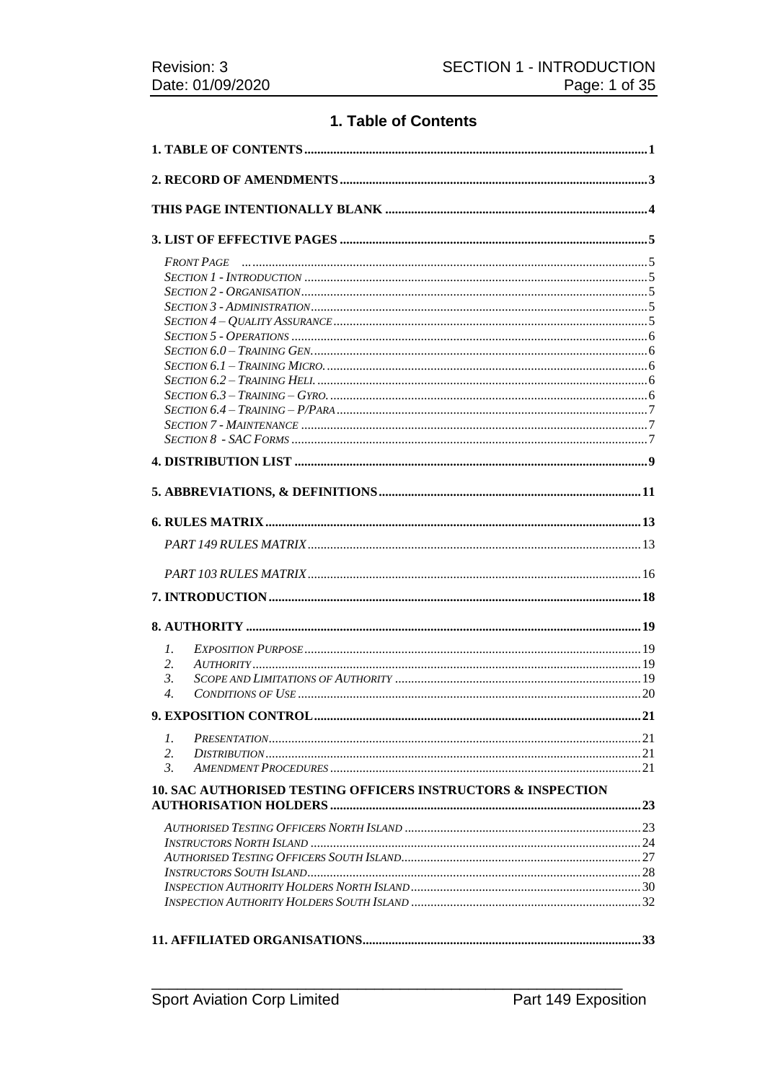### 1. Table of Contents

| 1.                                                           |  |
|--------------------------------------------------------------|--|
| 2.                                                           |  |
| 3.                                                           |  |
| $\overline{4}$ .                                             |  |
|                                                              |  |
| $\mathcal{I}$ .<br>2.                                        |  |
| $\mathfrak{Z}$ .                                             |  |
| 10. SAC AUTHORISED TESTING OFFICERS INSTRUCTORS & INSPECTION |  |
|                                                              |  |
|                                                              |  |
|                                                              |  |
|                                                              |  |
|                                                              |  |
|                                                              |  |
|                                                              |  |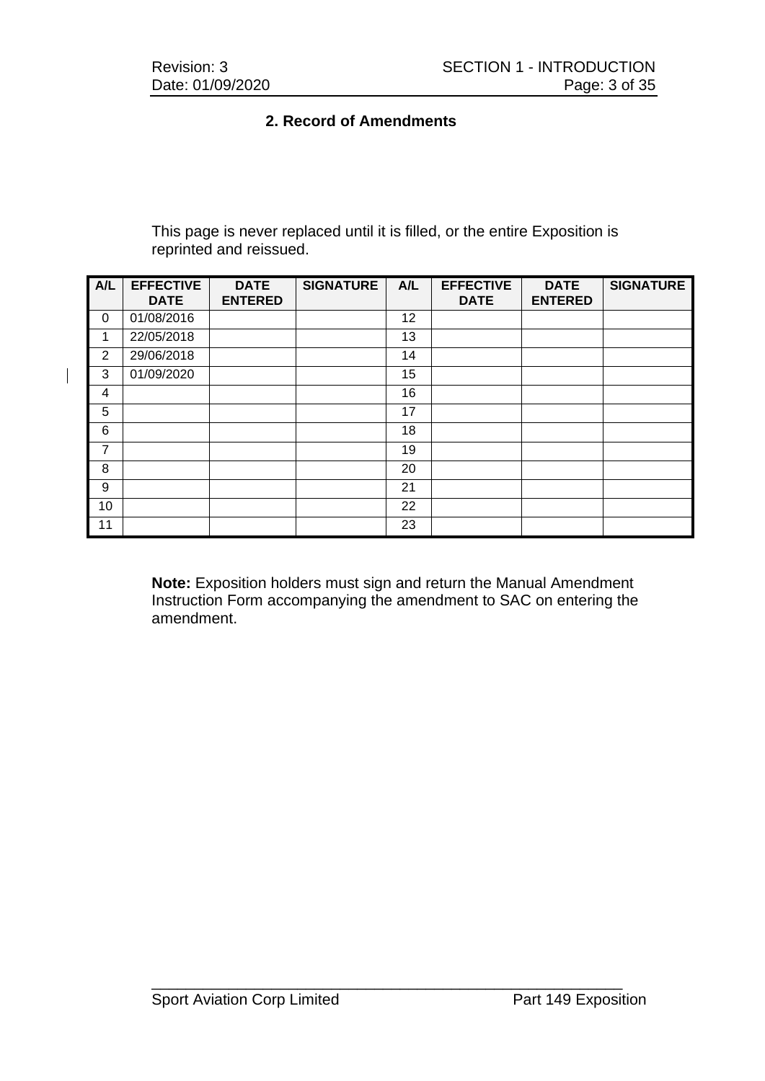$\overline{\phantom{a}}$ 

#### **2. Record of Amendments**

This page is never replaced until it is filled, or the entire Exposition is reprinted and reissued.

| A/L | <b>EFFECTIVE</b><br><b>DATE</b> | <b>DATE</b><br><b>ENTERED</b> | <b>SIGNATURE</b> | A/L | <b>EFFECTIVE</b><br><b>DATE</b> | <b>DATE</b><br><b>ENTERED</b> | <b>SIGNATURE</b> |
|-----|---------------------------------|-------------------------------|------------------|-----|---------------------------------|-------------------------------|------------------|
| 0   | 01/08/2016                      |                               |                  | 12  |                                 |                               |                  |
| 1   | 22/05/2018                      |                               |                  | 13  |                                 |                               |                  |
| 2   | 29/06/2018                      |                               |                  | 14  |                                 |                               |                  |
| 3   | 01/09/2020                      |                               |                  | 15  |                                 |                               |                  |
| 4   |                                 |                               |                  | 16  |                                 |                               |                  |
| 5   |                                 |                               |                  | 17  |                                 |                               |                  |
| 6   |                                 |                               |                  | 18  |                                 |                               |                  |
| 7   |                                 |                               |                  | 19  |                                 |                               |                  |
| 8   |                                 |                               |                  | 20  |                                 |                               |                  |
| 9   |                                 |                               |                  | 21  |                                 |                               |                  |
| 10  |                                 |                               |                  | 22  |                                 |                               |                  |
| 11  |                                 |                               |                  | 23  |                                 |                               |                  |

**Note:** Exposition holders must sign and return the Manual Amendment Instruction Form accompanying the amendment to SAC on entering the amendment.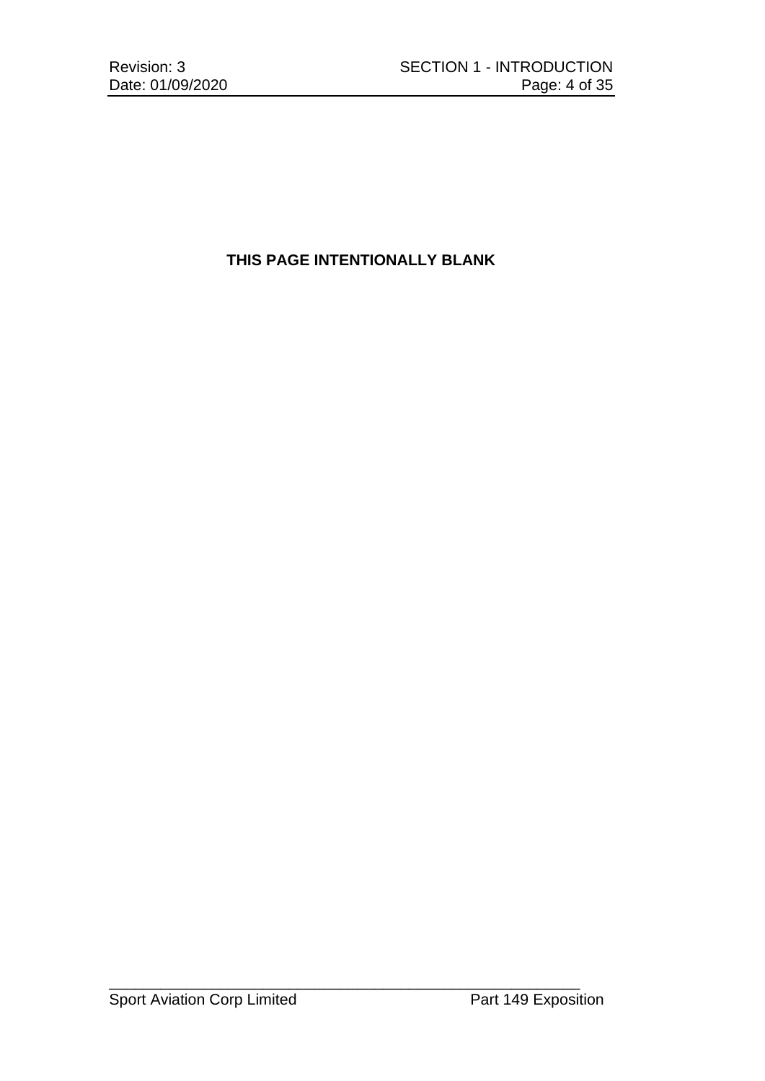### **THIS PAGE INTENTIONALLY BLANK**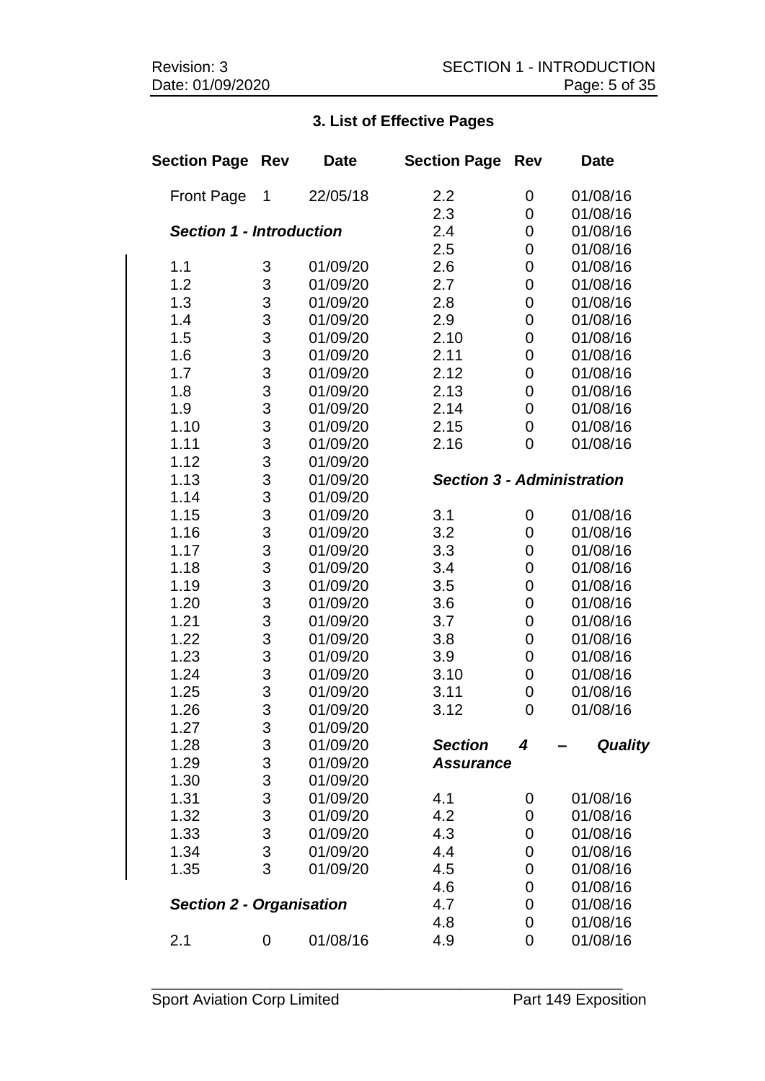## **3. List of Effective Pages**

| <b>Section Page</b>             | <b>Rev</b> | <b>Date</b> | <b>Section Page</b> | <b>Rev</b>     | <b>Date</b>                       |
|---------------------------------|------------|-------------|---------------------|----------------|-----------------------------------|
| <b>Front Page</b>               | 1          | 22/05/18    | 2.2                 | 0              | 01/08/16                          |
|                                 |            |             | 2.3                 | 0              | 01/08/16                          |
| <b>Section 1 - Introduction</b> |            |             | 2.4                 | 0              | 01/08/16                          |
|                                 |            |             | 2.5                 | 0              | 01/08/16                          |
| 1.1                             | 3          | 01/09/20    | 2.6                 | 0              | 01/08/16                          |
| 1.2                             | 3          | 01/09/20    | 2.7                 | 0              | 01/08/16                          |
| 1.3                             | 3          | 01/09/20    | 2.8                 | 0              | 01/08/16                          |
| 1.4                             | 3          | 01/09/20    | 2.9                 | 0              | 01/08/16                          |
| 1.5                             | 3          | 01/09/20    | 2.10                | 0              | 01/08/16                          |
| 1.6                             | 3          | 01/09/20    | 2.11                | 0              | 01/08/16                          |
| 1.7                             | 3          | 01/09/20    | 2.12                | 0              | 01/08/16                          |
| 1.8                             | 3          | 01/09/20    | 2.13                | 0              | 01/08/16                          |
| 1.9                             | 3          | 01/09/20    | 2.14                | 0              | 01/08/16                          |
| 1.10                            | 3          | 01/09/20    | 2.15                | 0              | 01/08/16                          |
| 1.11                            | 3          | 01/09/20    | 2.16                | $\overline{0}$ | 01/08/16                          |
| 1.12                            | 3          | 01/09/20    |                     |                |                                   |
| 1.13                            | 3          | 01/09/20    |                     |                | <b>Section 3 - Administration</b> |
| 1.14                            | 3          | 01/09/20    |                     |                |                                   |
| 1.15                            | 3          | 01/09/20    | 3.1                 | 0              | 01/08/16                          |
| 1.16                            | 3          | 01/09/20    | 3.2                 | 0              | 01/08/16                          |
| 1.17                            | 3          | 01/09/20    | 3.3                 | 0              | 01/08/16                          |
| 1.18                            | 3          | 01/09/20    | 3.4                 | 0              | 01/08/16                          |
| 1.19                            | 3          | 01/09/20    | 3.5                 | 0              | 01/08/16                          |
| 1.20                            | 3          | 01/09/20    | 3.6                 | 0              | 01/08/16                          |
| 1.21                            | 3          | 01/09/20    | 3.7                 | 0              | 01/08/16                          |
| 1.22                            | 3          | 01/09/20    | 3.8                 | 0              | 01/08/16                          |
| 1.23                            | 3          | 01/09/20    | 3.9                 | 0              | 01/08/16                          |
| 1.24                            | 3          | 01/09/20    | 3.10                | 0              | 01/08/16                          |
| 1.25                            | 3          | 01/09/20    | 3.11                | 0              | 01/08/16                          |
| 1.26                            | 3          | 01/09/20    | 3.12                | $\overline{0}$ | 01/08/16                          |
| 1.27                            | 3          | 01/09/20    |                     |                |                                   |
| 1.28                            | 3          | 01/09/20    | <b>Section</b>      | 4              | <b>Quality</b>                    |
| 1.29                            | 3          | 01/09/20    | <b>Assurance</b>    |                |                                   |
| 1.30                            | 3          | 01/09/20    |                     |                |                                   |
| 1.31                            | 3          | 01/09/20    | 4.1                 | 0              | 01/08/16                          |
| 1.32                            | 3          | 01/09/20    | 4.2                 | 0              | 01/08/16                          |
| 1.33                            | 3          | 01/09/20    | 4.3                 | 0              | 01/08/16                          |
| 1.34                            | 3          | 01/09/20    | 4.4                 | 0              | 01/08/16                          |
| 1.35                            | 3          | 01/09/20    | 4.5                 | 0              | 01/08/16                          |
|                                 |            |             | 4.6                 | 0              | 01/08/16                          |
| <b>Section 2 - Organisation</b> |            |             | 4.7                 | 0              | 01/08/16                          |
|                                 |            |             | 4.8                 | 0              | 01/08/16                          |
| 2.1                             | 0          | 01/08/16    | 4.9                 | 0              | 01/08/16                          |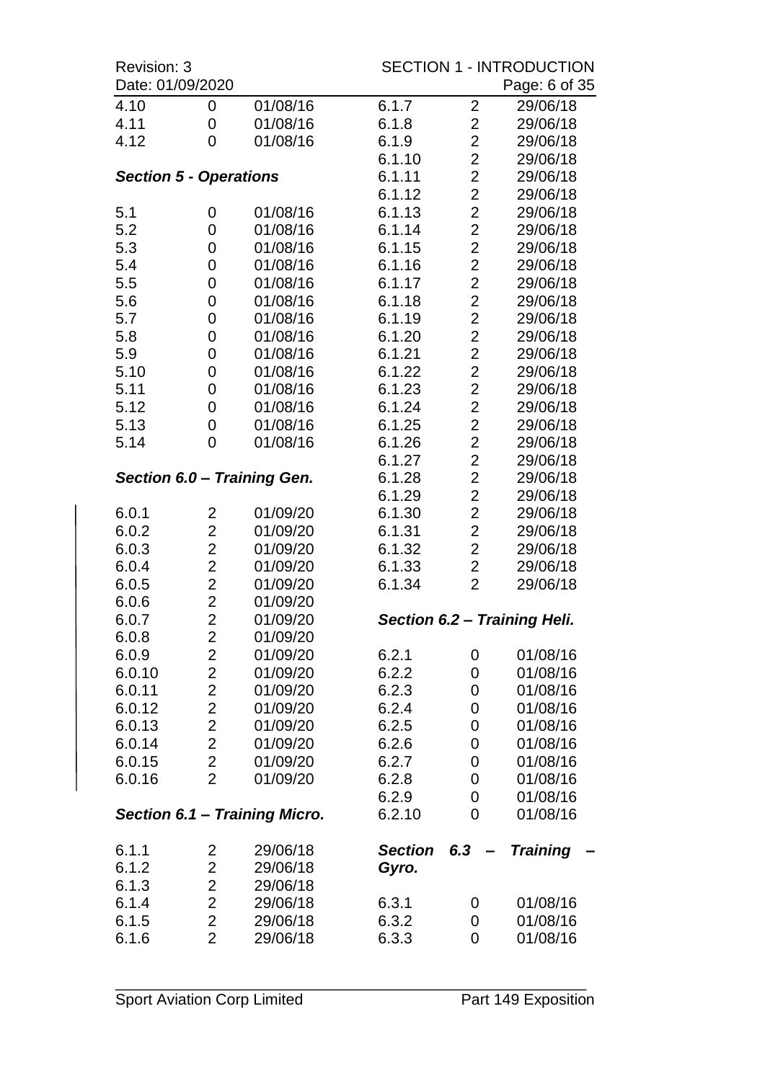| Revision: 3                   |                |                               |                |                | <b>SECTION 1 - INTRODUCTION</b> |
|-------------------------------|----------------|-------------------------------|----------------|----------------|---------------------------------|
| Date: 01/09/2020              |                |                               |                |                | Page: 6 of 35                   |
| 4.10                          | 0              | 01/08/16                      | 6.1.7          | $\overline{c}$ | 29/06/18                        |
| 4.11                          | 0              | 01/08/16                      | 6.1.8          | $\overline{2}$ | 29/06/18                        |
| 4.12                          | $\overline{0}$ | 01/08/16                      | 6.1.9          | $\overline{2}$ | 29/06/18                        |
|                               |                |                               | 6.1.10         | $\overline{c}$ | 29/06/18                        |
| <b>Section 5 - Operations</b> |                |                               | 6.1.11         | $\overline{2}$ | 29/06/18                        |
|                               |                |                               | 6.1.12         | $\overline{c}$ | 29/06/18                        |
| 5.1                           | 0              | 01/08/16                      | 6.1.13         | $\overline{2}$ | 29/06/18                        |
| 5.2                           | 0              | 01/08/16                      | 6.1.14         | $\overline{2}$ | 29/06/18                        |
| 5.3                           | $\mathbf 0$    | 01/08/16                      | 6.1.15         | $\overline{c}$ | 29/06/18                        |
| 5.4                           | $\mathbf 0$    | 01/08/16                      | 6.1.16         | $\overline{2}$ | 29/06/18                        |
| 5.5                           | 0              | 01/08/16                      | 6.1.17         | $\overline{c}$ | 29/06/18                        |
| 5.6                           | $\mathbf 0$    | 01/08/16                      | 6.1.18         | $\overline{2}$ | 29/06/18                        |
| 5.7                           | 0              | 01/08/16                      | 6.1.19         | $\overline{2}$ | 29/06/18                        |
| 5.8                           | 0              | 01/08/16                      | 6.1.20         | $\overline{2}$ | 29/06/18                        |
| 5.9                           | $\mathbf 0$    | 01/08/16                      | 6.1.21         | $\overline{2}$ | 29/06/18                        |
| 5.10                          | $\mathbf 0$    | 01/08/16                      | 6.1.22         | $\overline{c}$ | 29/06/18                        |
| 5.11                          | $\mathbf 0$    | 01/08/16                      | 6.1.23         | $\overline{2}$ | 29/06/18                        |
| 5.12                          | 0              | 01/08/16                      | 6.1.24         | $\overline{2}$ | 29/06/18                        |
| 5.13                          | 0              | 01/08/16                      | 6.1.25         | $\overline{c}$ | 29/06/18                        |
| 5.14                          | $\overline{0}$ | 01/08/16                      | 6.1.26         | $\overline{2}$ | 29/06/18                        |
|                               |                |                               | 6.1.27         | $\overline{2}$ | 29/06/18                        |
|                               |                | Section 6.0 - Training Gen.   | 6.1.28         | $\overline{c}$ | 29/06/18                        |
|                               |                |                               | 6.1.29         | $\overline{2}$ | 29/06/18                        |
| 6.0.1                         | 2              | 01/09/20                      | 6.1.30         | $\overline{2}$ | 29/06/18                        |
| 6.0.2                         | $\overline{2}$ | 01/09/20                      | 6.1.31         | $\overline{2}$ | 29/06/18                        |
| 6.0.3                         | $\overline{c}$ | 01/09/20                      | 6.1.32         | $\overline{2}$ | 29/06/18                        |
| 6.0.4                         | $\overline{2}$ | 01/09/20                      | 6.1.33         | $\overline{2}$ | 29/06/18                        |
| 6.0.5                         | $\overline{2}$ | 01/09/20                      | 6.1.34         | $\overline{2}$ | 29/06/18                        |
| 6.0.6                         | $\overline{2}$ | 01/09/20                      |                |                |                                 |
| 6.0.7                         | $\overline{2}$ | 01/09/20                      |                |                | Section 6.2 - Training Heli.    |
| 6.0.8                         | $\overline{c}$ | 01/09/20                      |                |                |                                 |
| 6.0.9                         | $\overline{c}$ | 01/09/20                      | 6.2.1          | 0              | 01/08/16                        |
| 6.0.10                        | $\overline{c}$ | 01/09/20                      | 6.2.2          | 0              | 01/08/16                        |
| 6.0.11                        | $\overline{c}$ | 01/09/20                      | 6.2.3          | 0              | 01/08/16                        |
| 6.0.12                        | $\frac{2}{2}$  | 01/09/20                      | 6.2.4          | 0              | 01/08/16                        |
| 6.0.13                        |                | 01/09/20                      | 6.2.5          | 0              | 01/08/16                        |
| 6.0.14                        | $\overline{2}$ | 01/09/20                      | 6.2.6          | 0              | 01/08/16                        |
| 6.0.15                        | $\overline{2}$ | 01/09/20                      | 6.2.7          | 0              | 01/08/16                        |
| 6.0.16                        | $\overline{2}$ | 01/09/20                      | 6.2.8          | $\mathbf 0$    | 01/08/16                        |
|                               |                |                               | 6.2.9          | 0              | 01/08/16                        |
|                               |                | Section 6.1 - Training Micro. | 6.2.10         | 0              | 01/08/16                        |
| 6.1.1                         | 2              | 29/06/18                      | <b>Section</b> | 6.3            | <b>Training</b>                 |
| 6.1.2                         | $\overline{c}$ | 29/06/18                      | Gyro.          |                |                                 |
| 6.1.3                         | $\overline{c}$ | 29/06/18                      |                |                |                                 |
| 6.1.4                         | $\overline{2}$ | 29/06/18                      | 6.3.1          | 0              | 01/08/16                        |
| 6.1.5                         | $\overline{c}$ | 29/06/18                      | 6.3.2          | 0              | 01/08/16                        |
| 6.1.6                         | $\overline{2}$ | 29/06/18                      | 6.3.3          | 0              | 01/08/16                        |
|                               |                |                               |                |                |                                 |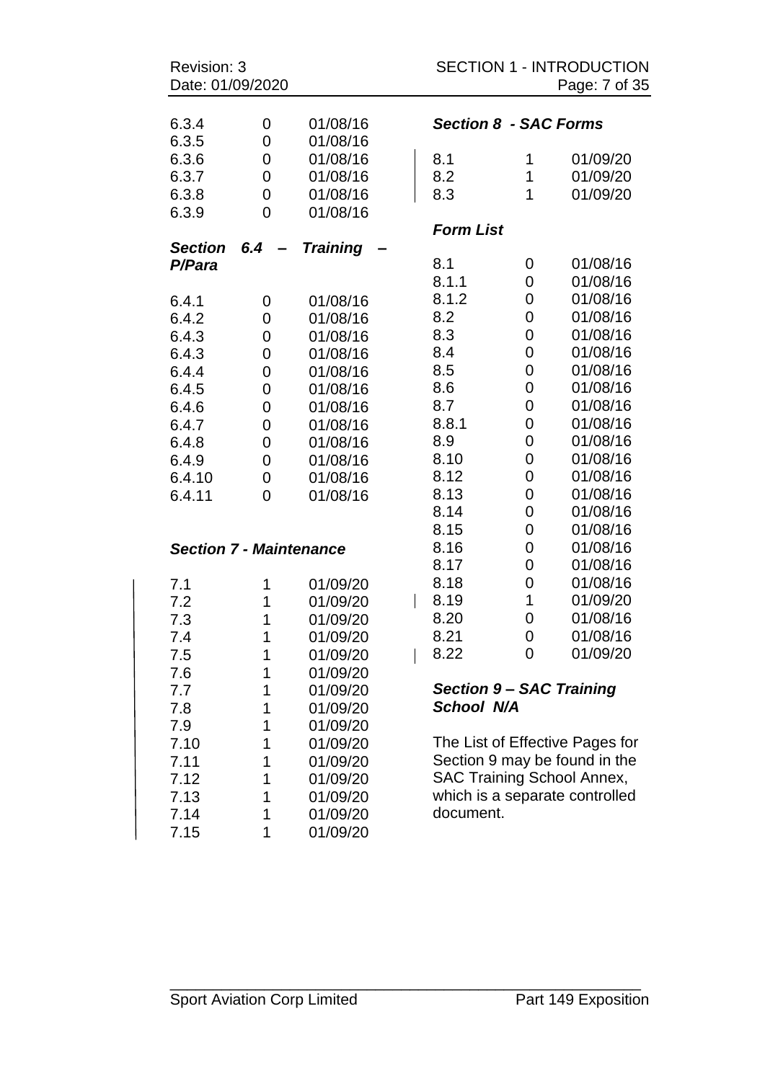| Revision: 3<br>Date: 01/09/2020 |        |                      |                              |                | <b>SECTION 1 - INTRODUCTION</b><br>Page: 7 of 35 |
|---------------------------------|--------|----------------------|------------------------------|----------------|--------------------------------------------------|
| 6.3.4                           | 0      | 01/08/16             | <b>Section 8 - SAC Forms</b> |                |                                                  |
| 6.3.5                           | 0      | 01/08/16             |                              |                |                                                  |
| 6.3.6                           | 0      | 01/08/16             | 8.1                          | 1              | 01/09/20                                         |
| 6.3.7                           | 0      | 01/08/16             | 8.2                          | 1              | 01/09/20                                         |
| 6.3.8                           | 0      | 01/08/16             | 8.3                          | 1              | 01/09/20                                         |
| 6.3.9                           | 0      | 01/08/16             |                              |                |                                                  |
|                                 |        |                      | <b>Form List</b>             |                |                                                  |
| <b>Section</b>                  | 6.4    | <b>Training</b>      |                              |                |                                                  |
| P/Para                          |        |                      | 8.1                          | 0              | 01/08/16                                         |
|                                 |        |                      | 8.1.1                        | 0              | 01/08/16                                         |
| 6.4.1                           | 0      | 01/08/16             | 8.1.2                        | 0              | 01/08/16                                         |
| 6.4.2                           | 0      | 01/08/16             | 8.2                          | 0              | 01/08/16                                         |
| 6.4.3                           | 0      | 01/08/16             | 8.3                          | 0              | 01/08/16                                         |
| 6.4.3                           | 0      | 01/08/16             | 8.4                          | 0              | 01/08/16                                         |
| 6.4.4                           | 0      | 01/08/16             | 8.5                          | 0              | 01/08/16                                         |
| 6.4.5                           | 0      | 01/08/16             | 8.6                          | 0              | 01/08/16                                         |
| 6.4.6                           | 0      | 01/08/16             | 8.7                          | $\overline{0}$ | 01/08/16                                         |
| 6.4.7                           | 0      | 01/08/16             | 8.8.1                        | 0              | 01/08/16                                         |
| 6.4.8                           | 0      | 01/08/16             | 8.9                          | 0              | 01/08/16                                         |
| 6.4.9                           | 0      | 01/08/16             | 8.10                         | 0              | 01/08/16                                         |
| 6.4.10                          | 0      | 01/08/16             | 8.12                         | 0              | 01/08/16                                         |
| 6.4.11                          | 0      | 01/08/16             | 8.13                         | 0              | 01/08/16                                         |
|                                 |        |                      | 8.14                         | $\overline{0}$ | 01/08/16                                         |
|                                 |        |                      | 8.15                         | 0              | 01/08/16<br>01/08/16                             |
| <b>Section 7 - Maintenance</b>  |        |                      | 8.16<br>8.17                 | 0<br>0         | 01/08/16                                         |
|                                 |        |                      | 8.18                         | 0              | 01/08/16                                         |
| 7.1<br>7.2                      | 1<br>1 | 01/09/20             | 8.19                         | 1              | 01/09/20                                         |
|                                 | 1      | 01/09/20<br>01/09/20 | 8.20                         | 0              | 01/08/16                                         |
| 7.3                             | 1      |                      | 8.21                         | 0              | 01/08/16                                         |
| 7.4<br>7.5                      | 1      | 01/09/20<br>01/09/20 | 8.22                         | 0              | 01/09/20                                         |
| 7.6                             | 1      | 01/09/20             |                              |                |                                                  |
| 7.7                             | 1      | 01/09/20             |                              |                | <b>Section 9 - SAC Training</b>                  |
| 7.8                             | 1      | 01/09/20             | School N/A                   |                |                                                  |
| 7.9                             | 1      | 01/09/20             |                              |                |                                                  |
| 7.10                            | 1      | 01/09/20             |                              |                | The List of Effective Pages for                  |
| 7.11                            | 1      | 01/09/20             |                              |                | Section 9 may be found in the                    |
| 7.12                            | 1      | 01/09/20             |                              |                | <b>SAC Training School Annex,</b>                |
| 7.13                            | 1      | 01/09/20             |                              |                | which is a separate controlled                   |
| 7.14                            | 1      | 01/09/20             | document.                    |                |                                                  |

7.15 1 01/09/20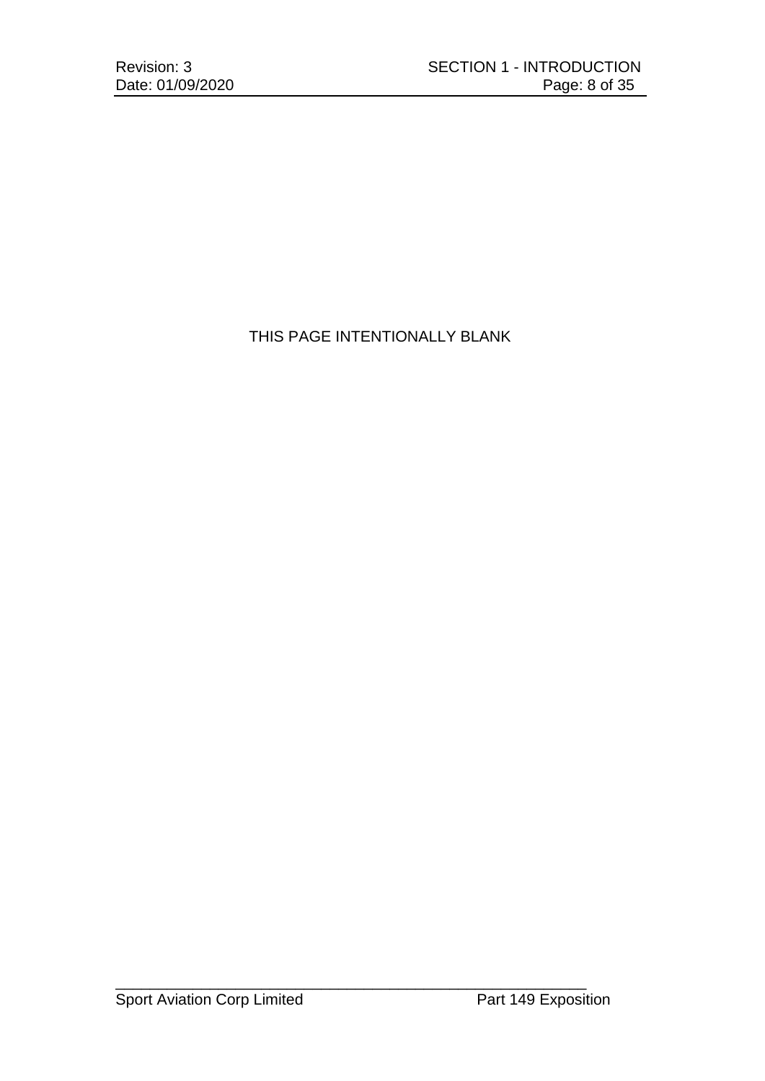## THIS PAGE INTENTIONALLY BLANK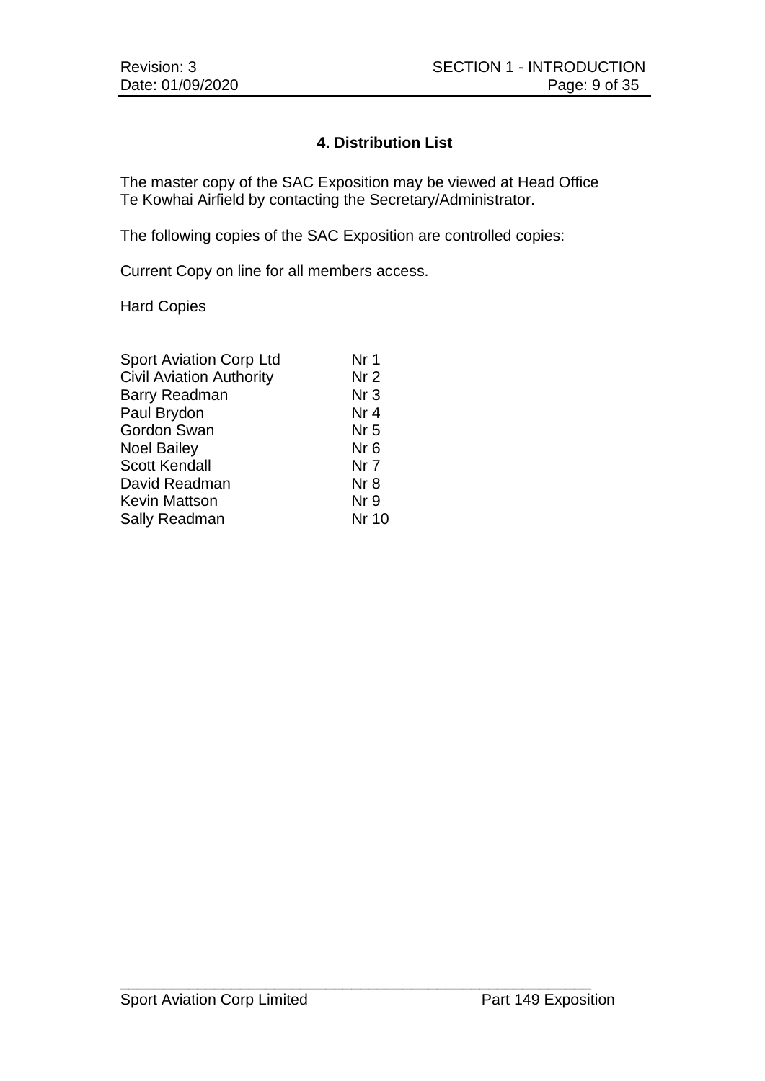#### **4. Distribution List**

The master copy of the SAC Exposition may be viewed at Head Office Te Kowhai Airfield by contacting the Secretary/Administrator.

The following copies of the SAC Exposition are controlled copies:

Current Copy on line for all members access.

Hard Copies

| <b>Sport Aviation Corp Ltd</b>  | Nr 1            |
|---------------------------------|-----------------|
| <b>Civil Aviation Authority</b> | Nr 2            |
| <b>Barry Readman</b>            | Nr <sub>3</sub> |
| Paul Brydon                     | Nr 4            |
| <b>Gordon Swan</b>              | Nr <sub>5</sub> |
| <b>Noel Bailey</b>              | Nr 6            |
| <b>Scott Kendall</b>            | Nr 7            |
| David Readman                   | Nr 8            |
| <b>Kevin Mattson</b>            | Nr 9            |
| Sally Readman                   | <b>Nr 10</b>    |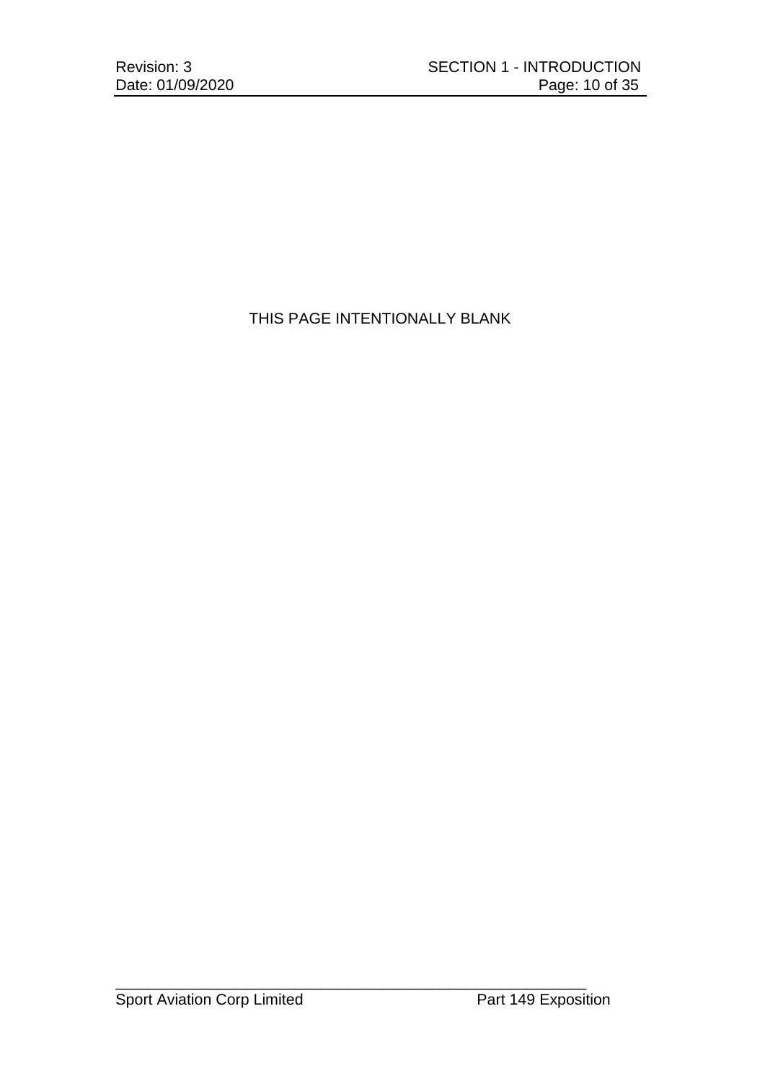### THIS PAGE INTENTIONALLY BLANK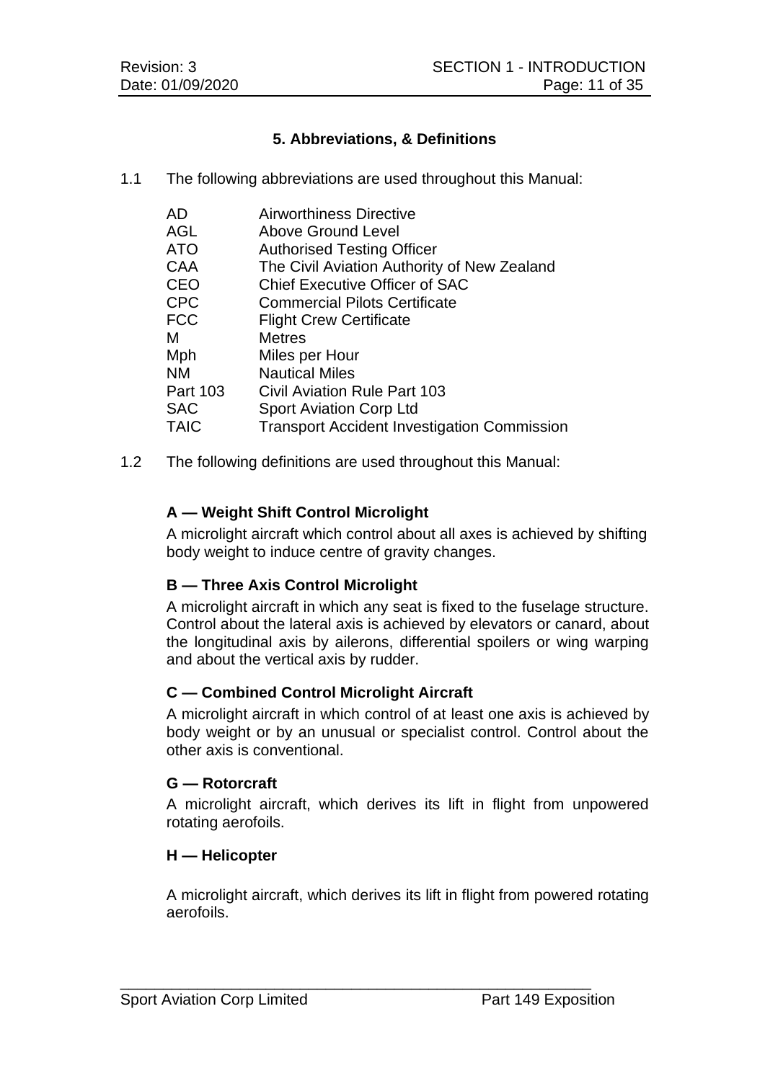#### **5. Abbreviations, & Definitions**

1.1 The following abbreviations are used throughout this Manual:

| AD.         | <b>Airworthiness Directive</b>                     |
|-------------|----------------------------------------------------|
| <b>AGL</b>  | <b>Above Ground Level</b>                          |
| <b>ATO</b>  | <b>Authorised Testing Officer</b>                  |
| <b>CAA</b>  | The Civil Aviation Authority of New Zealand        |
| <b>CEO</b>  | <b>Chief Executive Officer of SAC</b>              |
| <b>CPC</b>  | <b>Commercial Pilots Certificate</b>               |
| <b>FCC</b>  | <b>Flight Crew Certificate</b>                     |
| м           | <b>Metres</b>                                      |
| Mph         | Miles per Hour                                     |
| <b>NM</b>   | <b>Nautical Miles</b>                              |
| Part 103    | Civil Aviation Rule Part 103                       |
| <b>SAC</b>  | <b>Sport Aviation Corp Ltd</b>                     |
| <b>TAIC</b> | <b>Transport Accident Investigation Commission</b> |

1.2 The following definitions are used throughout this Manual:

### **A — Weight Shift Control Microlight**

A microlight aircraft which control about all axes is achieved by shifting body weight to induce centre of gravity changes.

#### **B — Three Axis Control Microlight**

A microlight aircraft in which any seat is fixed to the fuselage structure. Control about the lateral axis is achieved by elevators or canard, about the longitudinal axis by ailerons, differential spoilers or wing warping and about the vertical axis by rudder.

#### **C — Combined Control Microlight Aircraft**

A microlight aircraft in which control of at least one axis is achieved by body weight or by an unusual or specialist control. Control about the other axis is conventional.

#### **G — Rotorcraft**

A microlight aircraft, which derives its lift in flight from unpowered rotating aerofoils.

#### **H — Helicopter**

A microlight aircraft, which derives its lift in flight from powered rotating aerofoils.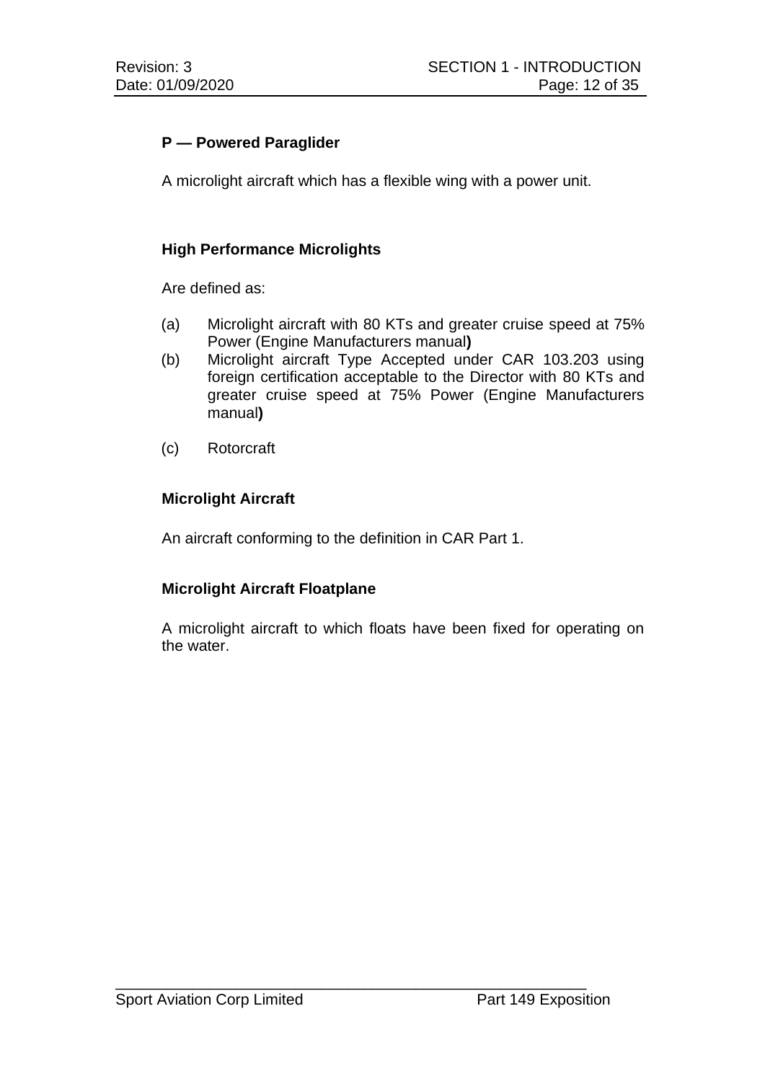#### **P — Powered Paraglider**

A microlight aircraft which has a flexible wing with a power unit.

#### **High Performance Microlights**

Are defined as:

- (a) Microlight aircraft with 80 KTs and greater cruise speed at 75% Power (Engine Manufacturers manual**)**
- (b) Microlight aircraft Type Accepted under CAR 103.203 using foreign certification acceptable to the Director with 80 KTs and greater cruise speed at 75% Power (Engine Manufacturers manual**)**
- (c) Rotorcraft

#### **Microlight Aircraft**

An aircraft conforming to the definition in CAR Part 1.

\_\_\_\_\_\_\_\_\_\_\_\_\_\_\_\_\_\_\_\_\_\_\_\_\_\_\_\_\_\_\_\_\_\_\_\_\_\_\_\_\_\_\_\_\_\_\_\_\_\_\_\_\_\_\_

#### **Microlight Aircraft Floatplane**

A microlight aircraft to which floats have been fixed for operating on the water.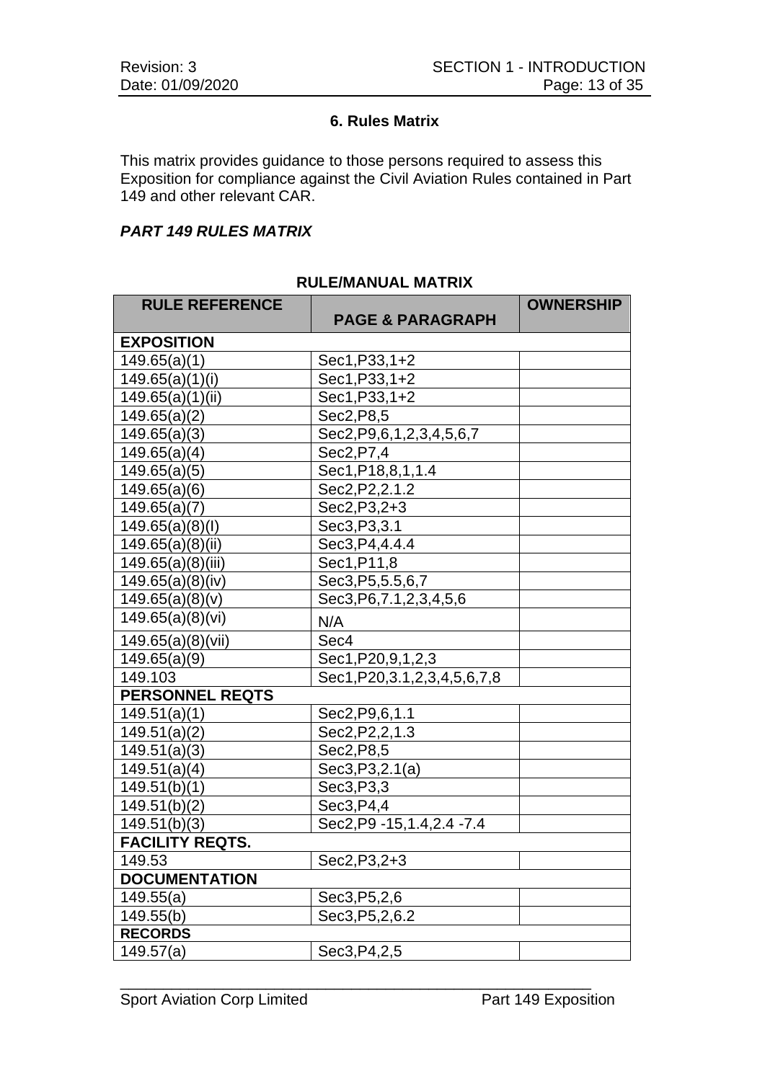#### **6. Rules Matrix**

This matrix provides guidance to those persons required to assess this Exposition for compliance against the Civil Aviation Rules contained in Part 149 and other relevant CAR.

#### *PART 149 RULES MATRIX*

#### **RULE REFERENCE PAGE & PARAGRAPH OWNERSHIP EXPOSITION** 149.65(a)(1) Sec1,P33,1+2 149.65(a)(1)(i) Sec1,P33,1+2 149.65(a)(1)(ii) Sec1,P33,1+2 149.65(a)(2) Sec2,P8,5 149.65(a)(3) Sec2,P9,6,1,2,3,4,5,6,7 149.65(a)(4) Sec2,P7,4 149.65(a)(5) Sec1,P18,8,1,1.4 149.65(a)(6) Sec2,P2,2.1.2 149.65(a)(7) Sec2,P3,2+3 149.65(a)(8)(I) Sec3,P3,3.1 149.65(a)(8)(ii) Sec3,P4,4.4.4 149.65(a)(8)(iii) | Sec1, P11, 8 149.65(a)(8)(iv) Sec3,P5,5.5,6,7 149.65(a)(8)(v) Sec3,P6,7.1,2,3,4,5,6 149.65(a)(8)(vi)  $N/A$ 149.65(a)(8)(vii) | Sec4 149.65(a)(9) Sec1,P20,9,1,2,3 149.103 Sec1, P20, 3.1, 2, 3, 4, 5, 6, 7, 8 **PERSONNEL REQTS** 149.51(a)(1) Sec2,P9,6,1.1 149.51(a)(2) Sec2,P2,2,1.3 149.51(a)(3) | Sec2, P8,5 149.51(a)(4) Sec3,P3,2.1(a) 149.51(b)(1) Sec3,P3,3 149.51(b)(2) Sec3,P4,4 149.51(b)(3) Sec2,P9 -15,1.4,2.4 -7.4 **FACILITY REQTS.** 149.53 | Sec2, P3, 2+3 **DOCUMENTATION** 149.55(a) | Sec3, P5, 2, 6 149.55(b) Sec3,P5,2,6.2 **RECORDS** 149.57(a) Sec3,P4,2,5

\_\_\_\_\_\_\_\_\_\_\_\_\_\_\_\_\_\_\_\_\_\_\_\_\_\_\_\_\_\_\_\_\_\_\_\_\_\_\_\_\_\_\_\_\_\_\_\_\_\_\_\_\_\_\_

#### **RULE/MANUAL MATRIX**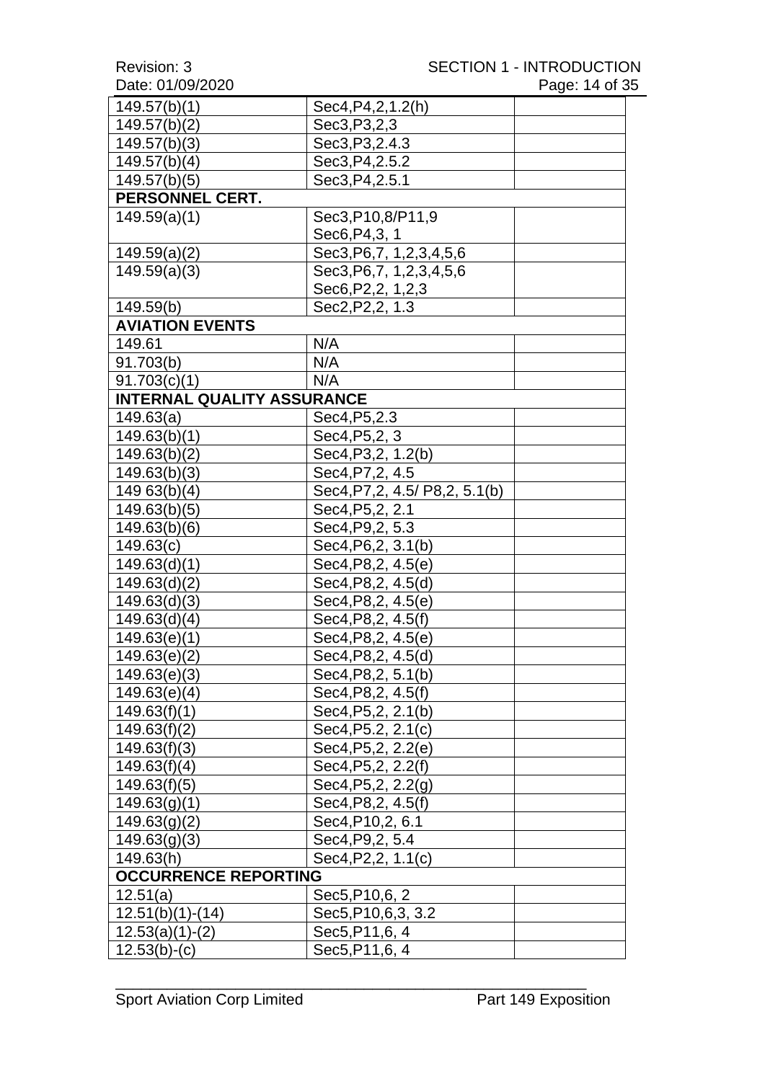Revision: 3 SECTION 1 - INTRODUCTION

| Date: 01/09/2020                  |                                 | Page: 14 of 35 |
|-----------------------------------|---------------------------------|----------------|
| 149.57(b)(1)                      | Sec4, P4, 2, 1. 2(h)            |                |
| 149.57(b)(2)                      | Sec3, P3, 2, 3                  |                |
| 149.57(b)(3)                      | Sec3, P3, 2.4.3                 |                |
| 149.57(b)(4)                      | Sec3, P4, 2.5.2                 |                |
| 149.57(b)(5)                      | Sec3, P4, 2.5.1                 |                |
| PERSONNEL CERT.                   |                                 |                |
| 149.59(a)(1)                      | Sec3, P10, 8/P11, 9             |                |
|                                   | Sec6, P4, 3, 1                  |                |
| 149.59(a)(2)                      | Sec3, P6, 7, 1, 2, 3, 4, 5, 6   |                |
| 149.59(a)(3)                      | Sec3, P6, 7, 1, 2, 3, 4, 5, 6   |                |
|                                   | Sec6, P2, 2, 1, 2, 3            |                |
| 149.59(b)                         | Sec2, P2, 2, 1.3                |                |
| <b>AVIATION EVENTS</b>            |                                 |                |
| 149.61                            | N/A                             |                |
| 91.703(b)                         | N/A                             |                |
| 91.703(c)(1)                      | N/A                             |                |
| <b>INTERNAL QUALITY ASSURANCE</b> |                                 |                |
| 149.63(a)                         | Sec4, P5, 2.3                   |                |
| 149.63(b)(1)                      | Sec4, P5, 2, 3                  |                |
| 149.63(b)(2)                      | Sec4, P3, 2, 1.2(b)             |                |
| 149.63(b)(3)                      | Sec4, P7, 2, 4.5                |                |
| 14963(b)(4)                       | Sec4, P7, 2, 4.5/ P8, 2, 5.1(b) |                |
| 149.63(b)(5)                      | Sec4, P5, 2, 2.1                |                |
| 149.63(b)(6)                      | Sec4, P9, 2, 5.3                |                |
| 149.63(c)                         | Sec4, P6, 2, 3.1(b)             |                |
| 149.63(d)(1)                      | Sec4, P8, 2, 4.5(e)             |                |
| 149.63(d)(2)                      | Sec4, P8, 2, 4.5(d)             |                |
| 149.63(d)(3)                      | Sec4, P8, 2, 4.5(e)             |                |
| 149.63(d)(4)                      | Sec4, P8, 2, 4.5(f)             |                |
| 149.63(e)(1)                      | Sec4, P8, 2, 4.5(e)             |                |
| 149.63(e)(2)                      | Sec4, P8, 2, 4.5(d)             |                |
| 149.63(e)(3)                      | Sec4, P8, 2, 5.1(b)             |                |
| 149.63(e)(4)                      | Sec4, P8, 2, 4.5(f)             |                |
| 149.63(f)(1)                      | Sec4, P5, 2, 2.1(b)             |                |
| 149.63(f)(2)                      | Sec4, P5.2, 2.1(c)              |                |
| 149.63(f)(3)                      | Sec4, P5, 2, 2.2(e)             |                |
| 149.63(f)(4)                      | Sec4, P5, 2, 2.2(f)             |                |
| 149.63(f)(5)                      | Sec4, P5, 2, 2.2(g)             |                |
| 149.63(g)(1)                      | Sec4, P8, 2, 4.5(f)             |                |
| 149.63(g)(2)                      | Sec4, P10, 2, 6.1               |                |
| 149.63(g)(3)                      | Sec4, P9, 2, 5.4                |                |
| 149.63(h)                         | Sec4, P2, 2, 1.1(c)             |                |
| <b>OCCURRENCE REPORTING</b>       |                                 |                |
| 12.51(a)                          | Sec5, P10, 6, 2                 |                |
| $12.51(b)(1)-(14)$                | Sec5, P10, 6, 3, 3.2            |                |
| $12.53(a)(1)-(2)$                 | Sec5, P11, 6, 4                 |                |
| $12.53(b)-(c)$                    | Sec5, P11, 6, 4                 |                |
|                                   |                                 |                |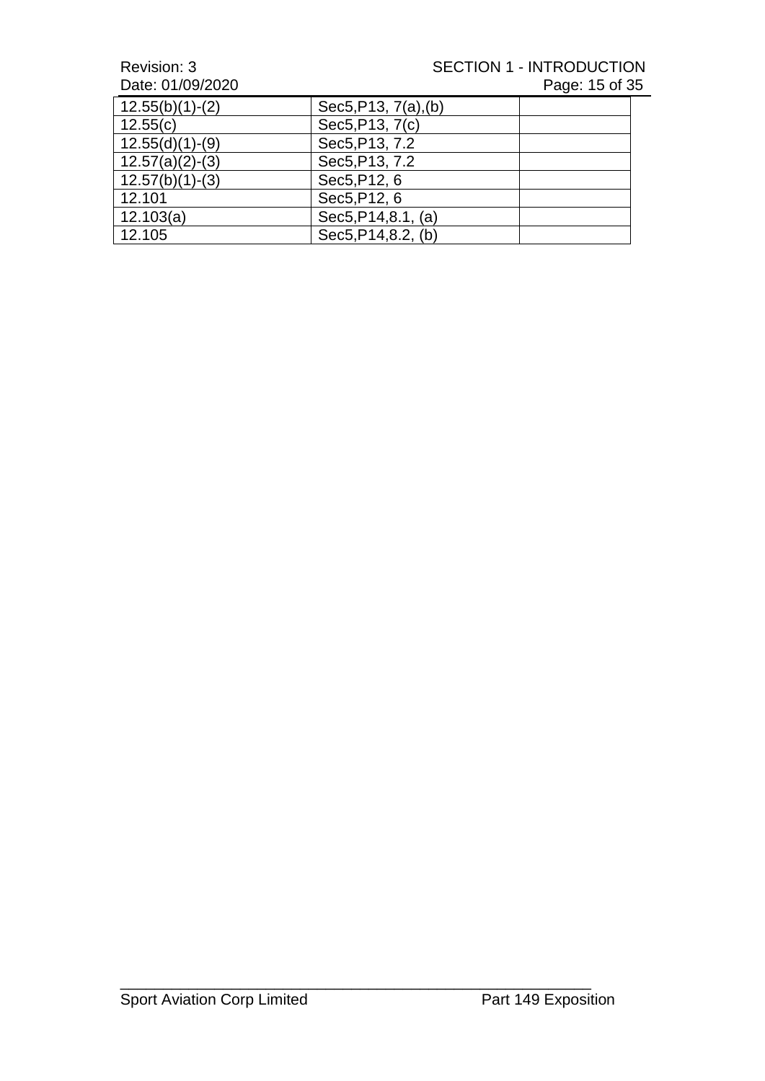#### Revision: 3 <br>
Date: 01/09/2020<br>
Date: 01/09/2020<br>
Rage: 15 of 35 Page: 15 of 35

| $12.55(b)(1)-(2)$ | Sec5, P13, 7(a), (b) |  |
|-------------------|----------------------|--|
| 12.55(c)          | Sec5, P13, 7(c)      |  |
| $12.55(d)(1)-(9)$ | Sec5, P13, 7.2       |  |
| $12.57(a)(2)-(3)$ | Sec5, P13, 7.2       |  |
| $12.57(b)(1)-(3)$ | Sec5, P12, 6         |  |
| 12.101            | Sec5, P12, 6         |  |
| 12.103(a)         | Sec5, P14, 8.1, (a)  |  |
| 12.105            | Sec5, P14, 8.2, (b)  |  |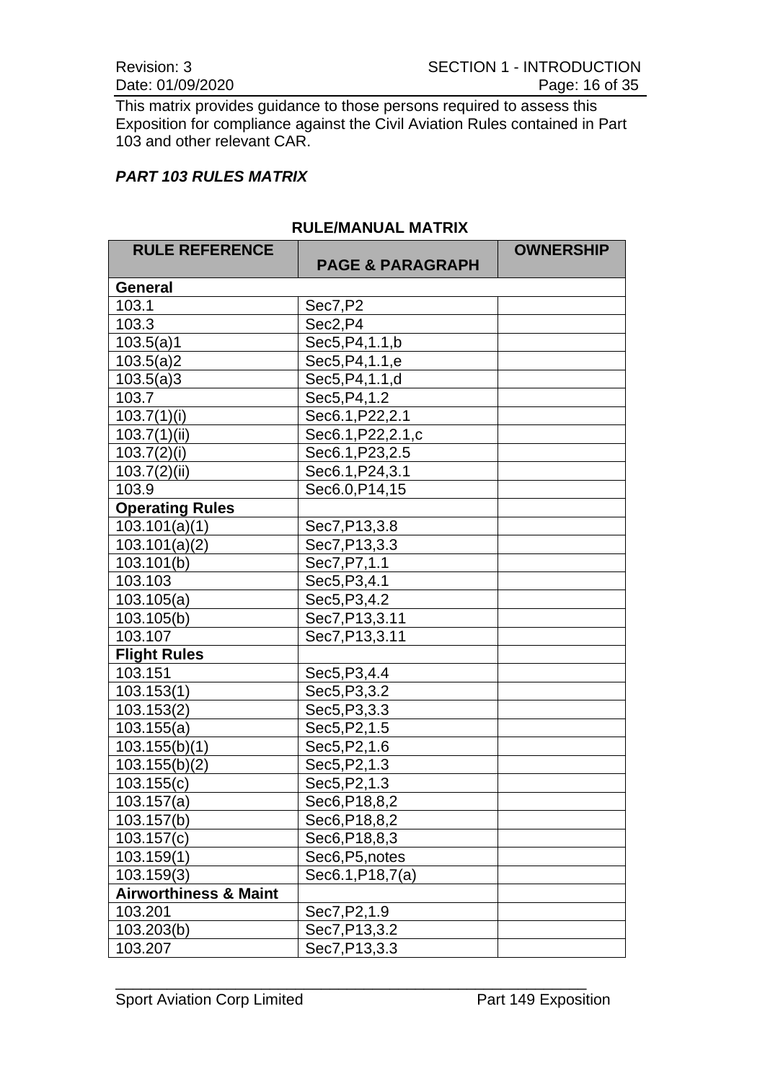This matrix provides guidance to those persons required to assess this Exposition for compliance against the Civil Aviation Rules contained in Part 103 and other relevant CAR.

#### *PART 103 RULES MATRIX*

| <b>RULE REFERENCE</b>            |                             | <b>OWNERSHIP</b> |
|----------------------------------|-----------------------------|------------------|
|                                  | <b>PAGE &amp; PARAGRAPH</b> |                  |
| <b>General</b>                   |                             |                  |
| 103.1                            | Sec7,P2                     |                  |
| 103.3                            | Sec2,P4                     |                  |
| 103.5(a)1                        | Sec5, P4, 1.1, b            |                  |
| 103.5(a)2                        | Sec5, P4, 1.1, e            |                  |
| 103.5(a)3                        | Sec5, P4, 1.1, d            |                  |
| 103.7                            | Sec5, P4, 1.2               |                  |
| 103.7(1)(i)                      | Sec6.1, P22, 2.1            |                  |
| 103.7(1)(ii)                     | Sec6.1, P22, 2.1, c         |                  |
| 103.7(2)(i)                      | Sec6.1, P23, 2.5            |                  |
| $103.7(2)$ (ii)                  | Sec6.1, P24, 3.1            |                  |
| 103.9                            | Sec6.0, P14, 15             |                  |
| <b>Operating Rules</b>           |                             |                  |
| 103.101(a)(1)                    | Sec7, P13, 3.8              |                  |
| 103.101(a)(2)                    | Sec7, P13, 3.3              |                  |
| 103.101(b)                       | Sec7, P7, 1.1               |                  |
| 103.103                          | Sec5, P3, 4.1               |                  |
| 103.105(a)                       | Sec5, P3, 4.2               |                  |
| 103.105(b)                       | Sec7, P13, 3.11             |                  |
| 103.107                          | Sec7, P13, 3.11             |                  |
| <b>Flight Rules</b>              |                             |                  |
| 103.151                          | Sec5, P3, 4.4               |                  |
| 103.153(1)                       | Sec5, P3, 3.2               |                  |
| 103.153(2)                       | Sec5, P3, 3.3               |                  |
| 103.155(a)                       | Sec5, P2, 1.5               |                  |
| 103.155(b)(1)                    | Sec5, P2, 1.6               |                  |
| 103.155(b)(2)                    | Sec5, P2, 1.3               |                  |
| 103.155(c)                       | Sec5, P2, 1.3               |                  |
| 103.157(a)                       | Sec6, P18, 8, 2             |                  |
| 103.157(b)                       | Sec6, P18, 8, 2             |                  |
| 103.157(c)                       | Sec6, P18, 8, 3             |                  |
| 103.159(1)                       | Sec6, P5, notes             |                  |
| 103.159(3)                       | Sec6.1, P18, 7(a)           |                  |
| <b>Airworthiness &amp; Maint</b> |                             |                  |
| 103.201                          | Sec7, P2, 1.9               |                  |
| 103.203(b)                       | Sec7, P13, 3.2              |                  |
| 103.207                          | Sec7, P13, 3.3              |                  |

#### **RULE/MANUAL MATRIX**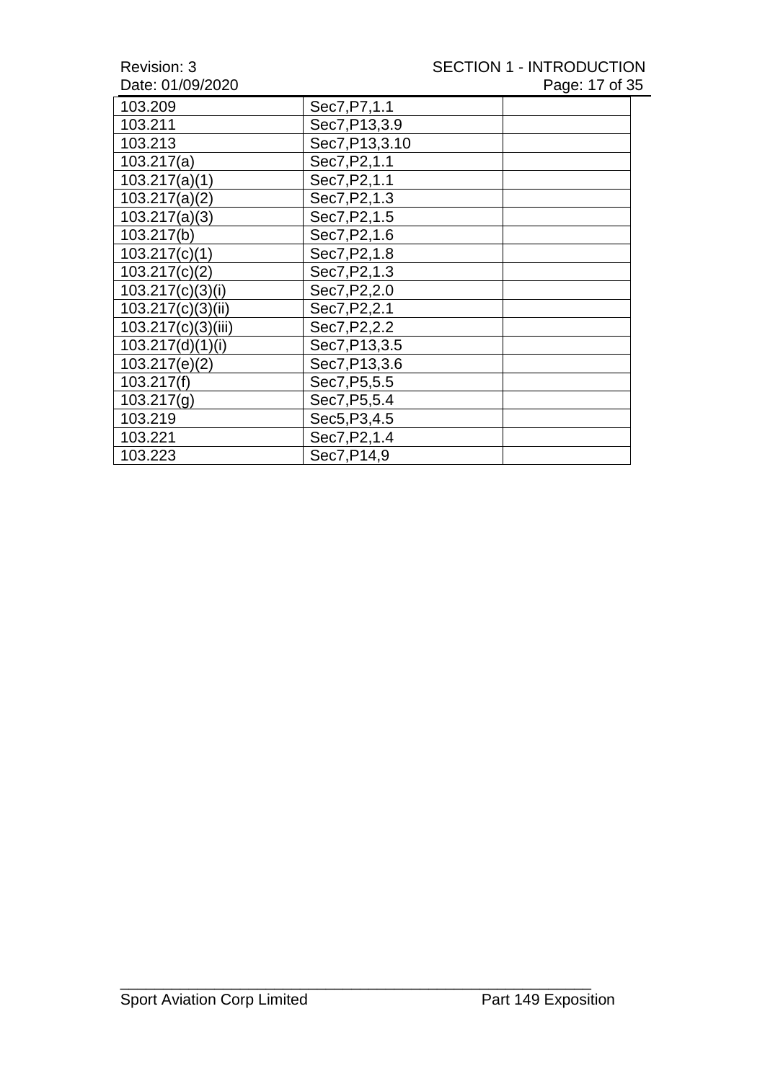Date: 01/09/2020

| 103.209            | Sec7, P7, 1.1   |  |
|--------------------|-----------------|--|
| 103.211            | Sec7, P13, 3.9  |  |
| 103.213            | Sec7, P13, 3.10 |  |
| 103.217(a)         | Sec7, P2, 1.1   |  |
| 103.217(a)(1)      | Sec7, P2, 1.1   |  |
| 103.217(a)(2)      | Sec7, P2, 1.3   |  |
| 103.217(a)(3)      | Sec7, P2, 1.5   |  |
| 103.217(b)         | Sec7, P2, 1.6   |  |
| 103.217(c)(1)      | Sec7, P2, 1.8   |  |
| 103.217(c)(2)      | Sec7, P2, 1.3   |  |
| 103.217(c)(3)(i)   | Sec7, P2, 2.0   |  |
| 103.217(c)(3)(ii)  | Sec7, P2, 2.1   |  |
| 103.217(c)(3)(iii) | Sec7, P2, 2.2   |  |
| 103.217(d)(1)(i)   | Sec7, P13, 3.5  |  |
| 103.217(e)(2)      | Sec7, P13, 3.6  |  |
| 103.217(f)         | Sec7, P5, 5.5   |  |
| 103.217(g)         | Sec7, P5, 5.4   |  |
| 103.219            | Sec5, P3, 4.5   |  |
| 103.221            | Sec7, P2, 1.4   |  |
| 103.223            | Sec7, P14, 9    |  |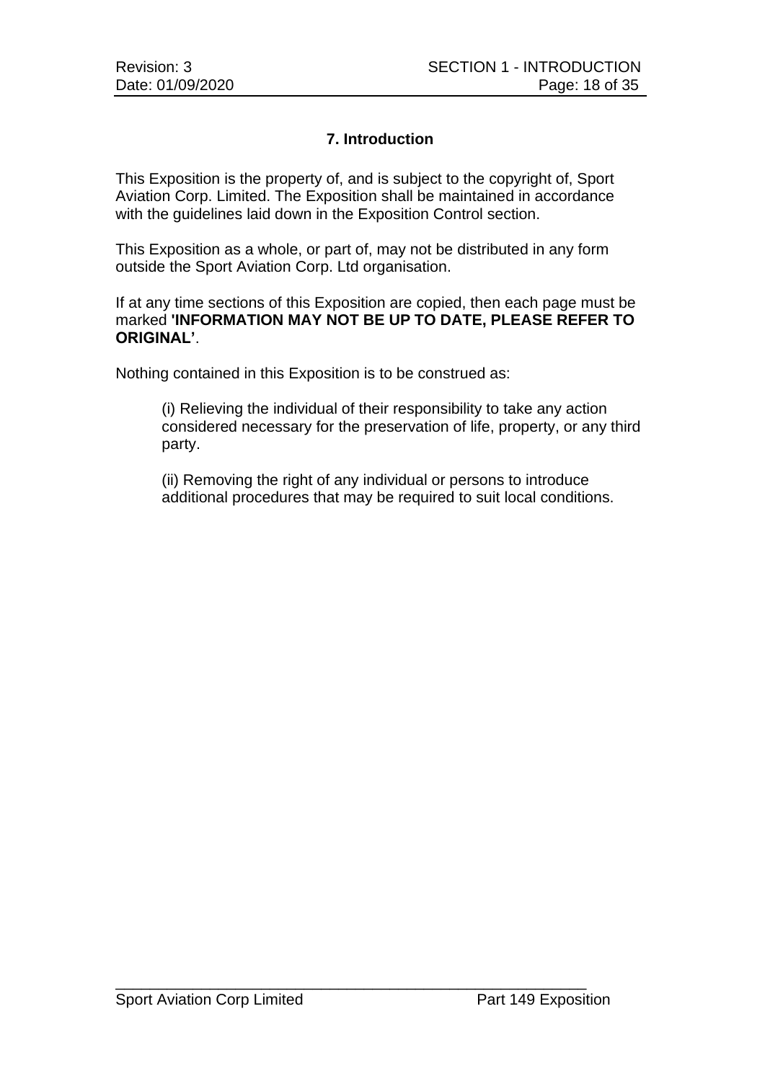#### **7. Introduction**

This Exposition is the property of, and is subject to the copyright of, Sport Aviation Corp. Limited. The Exposition shall be maintained in accordance with the guidelines laid down in the Exposition Control section.

This Exposition as a whole, or part of, may not be distributed in any form outside the Sport Aviation Corp. Ltd organisation.

If at any time sections of this Exposition are copied, then each page must be marked **'INFORMATION MAY NOT BE UP TO DATE, PLEASE REFER TO ORIGINAL'**.

Nothing contained in this Exposition is to be construed as:

(i) Relieving the individual of their responsibility to take any action considered necessary for the preservation of life, property, or any third party.

(ii) Removing the right of any individual or persons to introduce additional procedures that may be required to suit local conditions.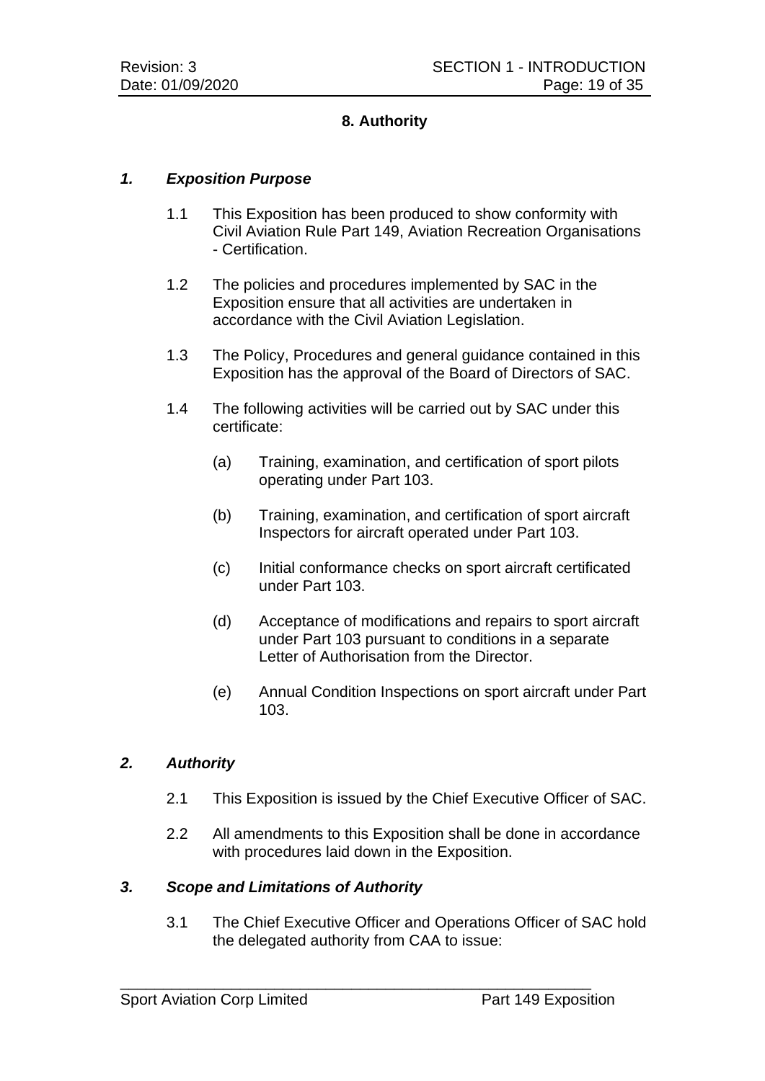#### **8. Authority**

#### *1. Exposition Purpose*

- 1.1 This Exposition has been produced to show conformity with Civil Aviation Rule Part 149, Aviation Recreation Organisations - Certification.
- 1.2 The policies and procedures implemented by SAC in the Exposition ensure that all activities are undertaken in accordance with the Civil Aviation Legislation.
- 1.3 The Policy, Procedures and general guidance contained in this Exposition has the approval of the Board of Directors of SAC.
- 1.4 The following activities will be carried out by SAC under this certificate:
	- (a) Training, examination, and certification of sport pilots operating under Part 103.
	- (b) Training, examination, and certification of sport aircraft Inspectors for aircraft operated under Part 103.
	- (c) Initial conformance checks on sport aircraft certificated under Part 103.
	- (d) Acceptance of modifications and repairs to sport aircraft under Part 103 pursuant to conditions in a separate Letter of Authorisation from the Director.
	- (e) Annual Condition Inspections on sport aircraft under Part 103.

#### *2. Authority*

- 2.1 This Exposition is issued by the Chief Executive Officer of SAC.
- 2.2 All amendments to this Exposition shall be done in accordance with procedures laid down in the Exposition.

#### *3. Scope and Limitations of Authority*

3.1 The Chief Executive Officer and Operations Officer of SAC hold the delegated authority from CAA to issue: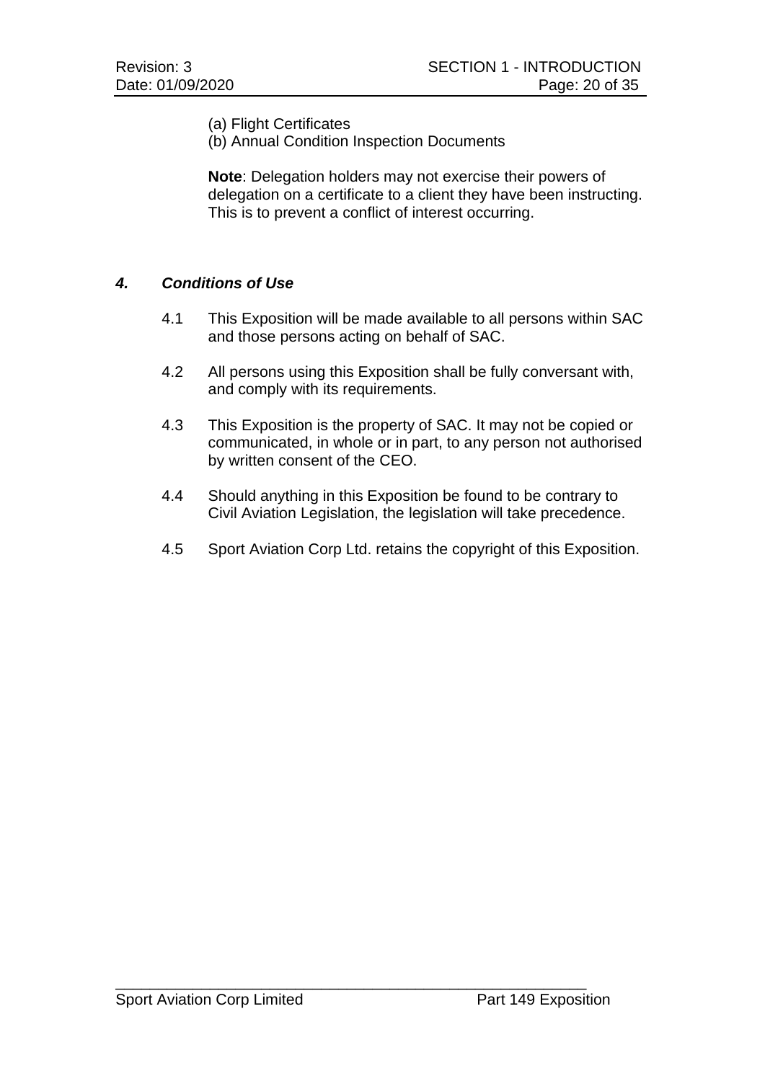(a) Flight Certificates

(b) Annual Condition Inspection Documents

**Note**: Delegation holders may not exercise their powers of delegation on a certificate to a client they have been instructing. This is to prevent a conflict of interest occurring.

#### *4. Conditions of Use*

- 4.1 This Exposition will be made available to all persons within SAC and those persons acting on behalf of SAC.
- 4.2 All persons using this Exposition shall be fully conversant with, and comply with its requirements.
- 4.3 This Exposition is the property of SAC. It may not be copied or communicated, in whole or in part, to any person not authorised by written consent of the CEO.
- 4.4 Should anything in this Exposition be found to be contrary to Civil Aviation Legislation, the legislation will take precedence.
- 4.5 Sport Aviation Corp Ltd. retains the copyright of this Exposition.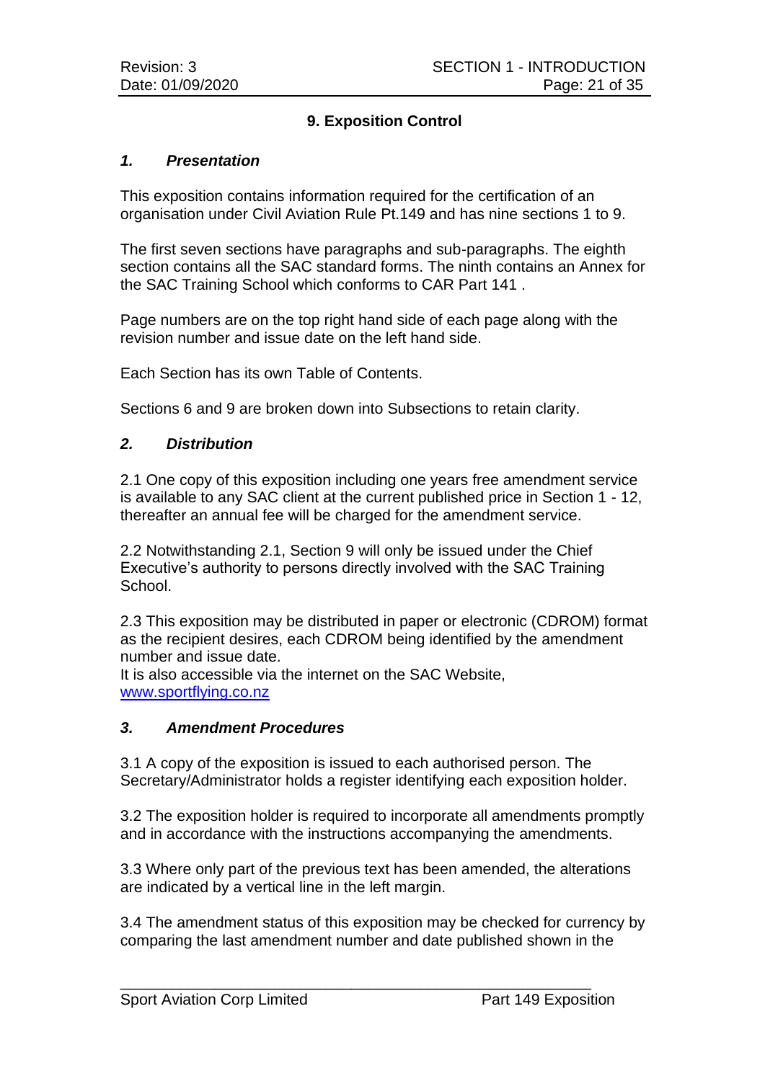#### **9. Exposition Control**

#### *1. Presentation*

This exposition contains information required for the certification of an organisation under Civil Aviation Rule Pt.149 and has nine sections 1 to 9.

The first seven sections have paragraphs and sub-paragraphs. The eighth section contains all the SAC standard forms. The ninth contains an Annex for the SAC Training School which conforms to CAR Part 141 .

Page numbers are on the top right hand side of each page along with the revision number and issue date on the left hand side.

Each Section has its own Table of Contents.

Sections 6 and 9 are broken down into Subsections to retain clarity.

#### *2. Distribution*

2.1 One copy of this exposition including one years free amendment service is available to any SAC client at the current published price in Section 1 - 12, thereafter an annual fee will be charged for the amendment service.

2.2 Notwithstanding 2.1, Section 9 will only be issued under the Chief Executive's authority to persons directly involved with the SAC Training School.

2.3 This exposition may be distributed in paper or electronic (CDROM) format as the recipient desires, each CDROM being identified by the amendment number and issue date.

It is also accessible via the internet on the SAC Website, [www.sportflying.co.nz](http://www.sportflying.co.nz/)

#### *3. Amendment Procedures*

3.1 A copy of the exposition is issued to each authorised person. The Secretary/Administrator holds a register identifying each exposition holder.

3.2 The exposition holder is required to incorporate all amendments promptly and in accordance with the instructions accompanying the amendments.

3.3 Where only part of the previous text has been amended, the alterations are indicated by a vertical line in the left margin.

3.4 The amendment status of this exposition may be checked for currency by comparing the last amendment number and date published shown in the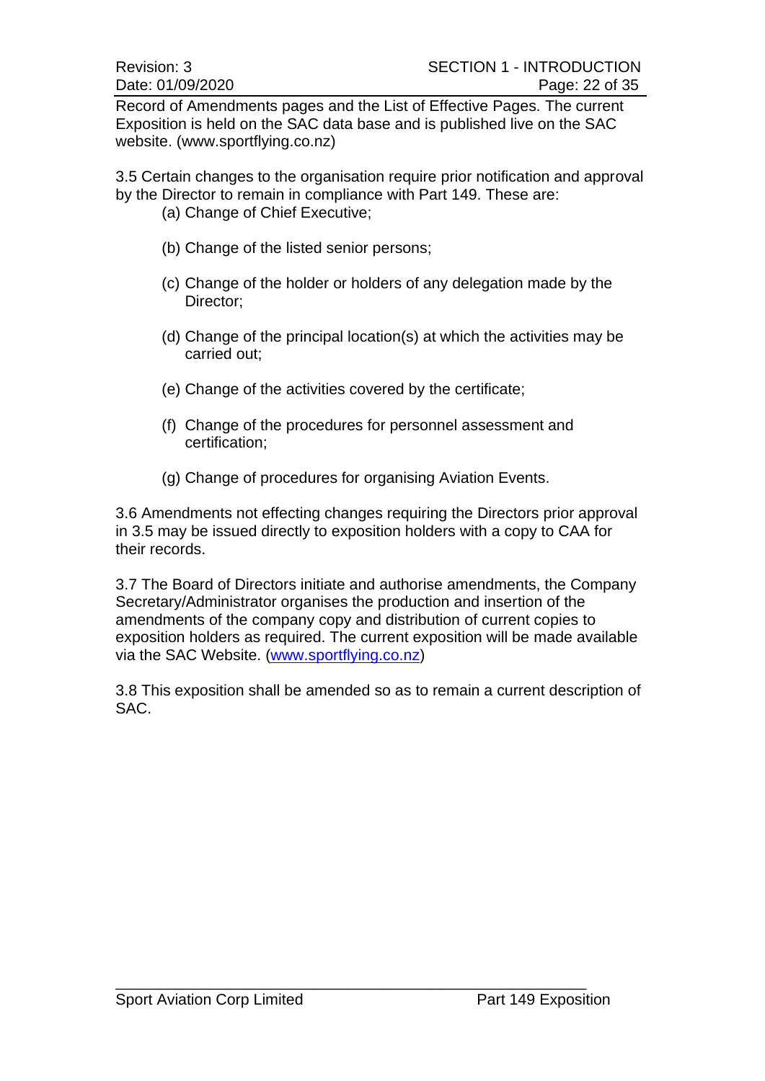Record of Amendments pages and the List of Effective Pages. The current Exposition is held on the SAC data base and is published live on the SAC website. (www.sportflying.co.nz)

3.5 Certain changes to the organisation require prior notification and approval by the Director to remain in compliance with Part 149. These are:

- (a) Change of Chief Executive;
- (b) Change of the listed senior persons;
- (c) Change of the holder or holders of any delegation made by the Director;
- (d) Change of the principal location(s) at which the activities may be carried out;
- (e) Change of the activities covered by the certificate;
- (f) Change of the procedures for personnel assessment and certification;
- (g) Change of procedures for organising Aviation Events.

3.6 Amendments not effecting changes requiring the Directors prior approval in 3.5 may be issued directly to exposition holders with a copy to CAA for their records.

3.7 The Board of Directors initiate and authorise amendments, the Company Secretary/Administrator organises the production and insertion of the amendments of the company copy and distribution of current copies to exposition holders as required. The current exposition will be made available via the SAC Website. [\(www.sportflying.co.nz\)](http://www.sportflying.co.nz/)

3.8 This exposition shall be amended so as to remain a current description of SAC.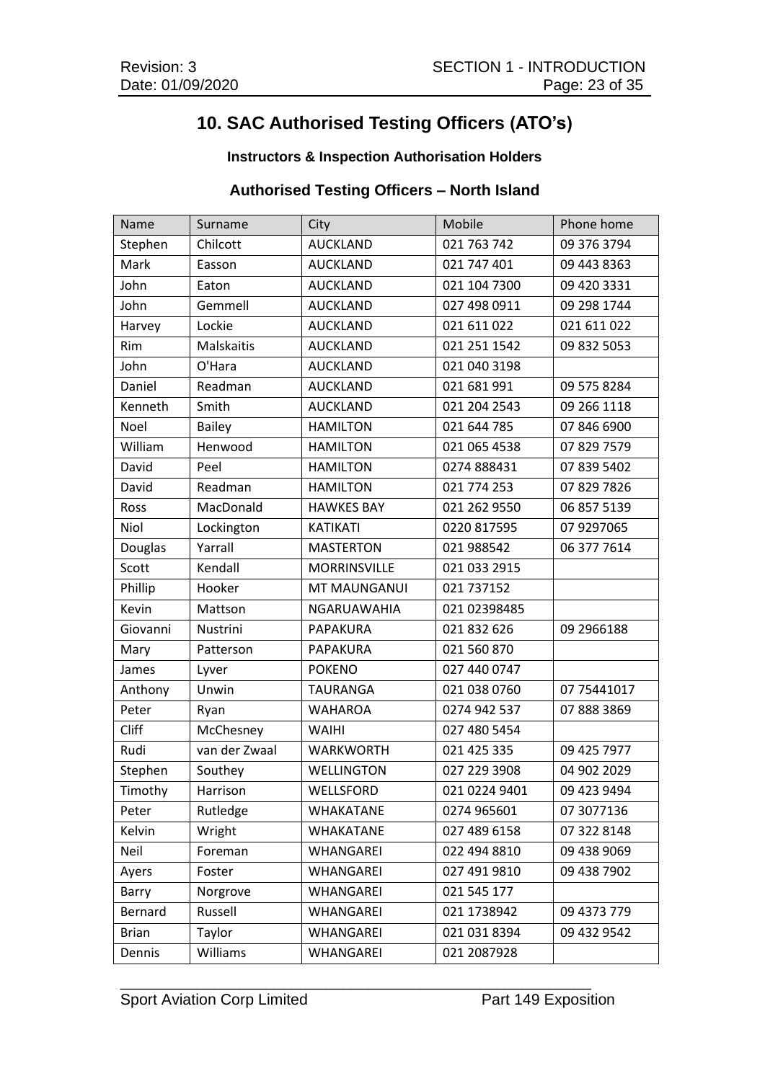# **10. SAC Authorised Testing Officers (ATO's)**

#### **Instructors & Inspection Authorisation Holders**

#### **Authorised Testing Officers – North Island**

| Name         | Surname       | City                | Mobile        | Phone home  |
|--------------|---------------|---------------------|---------------|-------------|
| Stephen      | Chilcott      | <b>AUCKLAND</b>     | 021 763 742   | 09 376 3794 |
| Mark         | Easson        | <b>AUCKLAND</b>     | 021 747 401   | 09 443 8363 |
| John         | Eaton         | <b>AUCKLAND</b>     | 021 104 7300  | 09 420 3331 |
| John         | Gemmell       | <b>AUCKLAND</b>     | 027 498 0911  | 09 298 1744 |
| Harvey       | Lockie        | <b>AUCKLAND</b>     | 021 611 022   | 021 611 022 |
| Rim          | Malskaitis    | <b>AUCKLAND</b>     | 021 251 1542  | 09 832 5053 |
| John         | O'Hara        | <b>AUCKLAND</b>     | 021 040 3198  |             |
| Daniel       | Readman       | <b>AUCKLAND</b>     | 021 681 991   | 09 575 8284 |
| Kenneth      | Smith         | <b>AUCKLAND</b>     | 021 204 2543  | 09 266 1118 |
| Noel         | <b>Bailey</b> | <b>HAMILTON</b>     | 021 644 785   | 07 846 6900 |
| William      | Henwood       | <b>HAMILTON</b>     | 021 065 4538  | 07 829 7579 |
| David        | Peel          | <b>HAMILTON</b>     | 0274 888431   | 07 839 5402 |
| David        | Readman       | <b>HAMILTON</b>     | 021 774 253   | 07 829 7826 |
| Ross         | MacDonald     | <b>HAWKES BAY</b>   | 021 262 9550  | 06 857 5139 |
| Niol         | Lockington    | <b>KATIKATI</b>     | 0220 817595   | 07 9297065  |
| Douglas      | Yarrall       | <b>MASTERTON</b>    | 021 988542    | 06 377 7614 |
| Scott        | Kendall       | <b>MORRINSVILLE</b> | 021 033 2915  |             |
| Phillip      | Hooker        | MT MAUNGANUI        | 021 737152    |             |
| Kevin        | Mattson       | NGARUAWAHIA         | 021 02398485  |             |
| Giovanni     | Nustrini      | PAPAKURA            | 021 832 626   | 09 29 66188 |
| Mary         | Patterson     | PAPAKURA            | 021 560 870   |             |
| James        | Lyver         | <b>POKENO</b>       | 027 440 0747  |             |
| Anthony      | Unwin         | <b>TAURANGA</b>     | 021 038 0760  | 07 75441017 |
| Peter        | Ryan          | <b>WAHAROA</b>      | 0274 942 537  | 07 888 3869 |
| <b>Cliff</b> | McChesney     | <b>WAIHI</b>        | 027 480 5454  |             |
| Rudi         | van der Zwaal | <b>WARKWORTH</b>    | 021 425 335   | 09 425 7977 |
| Stephen      | Southey       | <b>WELLINGTON</b>   | 027 229 3908  | 04 902 2029 |
| Timothy      | Harrison      | WELLSFORD           | 021 0224 9401 | 09 423 9494 |
| Peter        | Rutledge      | WHAKATANE           | 0274 965601   | 07 3077136  |
| Kelvin       | Wright        | WHAKATANE           | 027 489 6158  | 07 322 8148 |
| Neil         | Foreman       | WHANGAREI           | 022 494 8810  | 09 438 9069 |
| Ayers        | Foster        | WHANGAREI           | 027 491 9810  | 09 438 7902 |
| Barry        | Norgrove      | WHANGAREI           | 021 545 177   |             |
| Bernard      | Russell       | WHANGAREI           | 021 1738942   | 09 4373 779 |
| <b>Brian</b> | Taylor        | <b>WHANGAREI</b>    | 021 031 8394  | 09 432 9542 |
| Dennis       | Williams      | WHANGAREI           | 021 2087928   |             |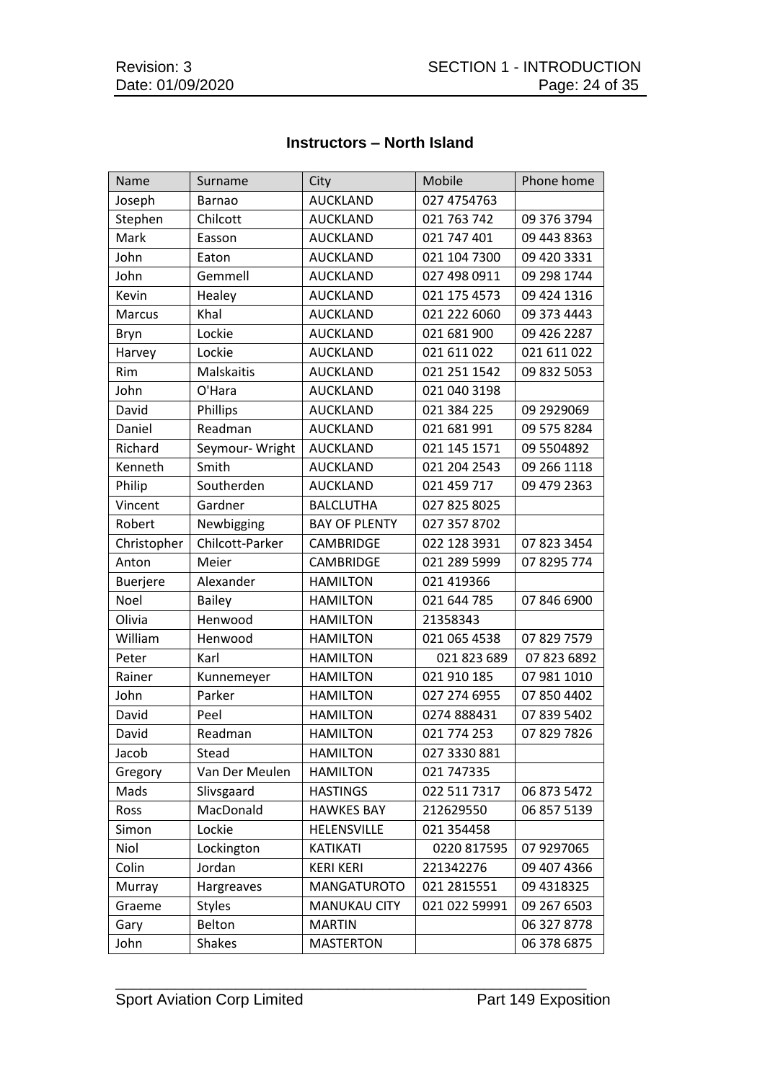#### **Instructors – North Island**

| Name            | Surname         | City                 | Mobile        | Phone home    |
|-----------------|-----------------|----------------------|---------------|---------------|
| Joseph          | <b>Barnao</b>   | <b>AUCKLAND</b>      | 027 4754763   |               |
| Stephen         | Chilcott        | <b>AUCKLAND</b>      | 021 763 742   | 09 376 3794   |
| Mark            | Easson          | <b>AUCKLAND</b>      | 021 747 401   | 09 443 8363   |
| John            | Eaton           | <b>AUCKLAND</b>      | 021 104 7300  | 09 420 3331   |
| John            | Gemmell         | <b>AUCKLAND</b>      | 027 498 0911  | 09 298 1744   |
| Kevin           | Healey          | <b>AUCKLAND</b>      | 021 175 4573  | 09 424 1316   |
| <b>Marcus</b>   | Khal            | <b>AUCKLAND</b>      | 021 222 6060  | 09 373 4443   |
| Bryn            | Lockie          | <b>AUCKLAND</b>      | 021 681 900   | 09 426 2287   |
| Harvey          | Lockie          | <b>AUCKLAND</b>      | 021 611 022   | 021 611 022   |
| Rim             | Malskaitis      | <b>AUCKLAND</b>      | 021 251 1542  | 09 832 5053   |
| John            | O'Hara          | <b>AUCKLAND</b>      | 021 040 3198  |               |
| David           | Phillips        | <b>AUCKLAND</b>      | 021 384 225   | 09 29 29 06 9 |
| Daniel          | Readman         | <b>AUCKLAND</b>      | 021 681 991   | 09 575 8284   |
| Richard         | Seymour-Wright  | <b>AUCKLAND</b>      | 021 145 1571  | 09 5504892    |
| Kenneth         | Smith           | <b>AUCKLAND</b>      | 021 204 2543  | 09 266 1118   |
| Philip          | Southerden      | <b>AUCKLAND</b>      | 021 459 717   | 09 479 2363   |
| Vincent         | Gardner         | <b>BALCLUTHA</b>     | 027 825 8025  |               |
| Robert          | Newbigging      | <b>BAY OF PLENTY</b> | 027 357 8702  |               |
| Christopher     | Chilcott-Parker | <b>CAMBRIDGE</b>     | 022 128 3931  | 07 823 3454   |
| Anton           | Meier           | <b>CAMBRIDGE</b>     | 021 289 5999  | 07 8295 774   |
| <b>Buerjere</b> | Alexander       | <b>HAMILTON</b>      | 021 419366    |               |
| Noel            | <b>Bailey</b>   | <b>HAMILTON</b>      | 021 644 785   | 07 846 6900   |
| Olivia          | Henwood         | <b>HAMILTON</b>      | 21358343      |               |
| William         | Henwood         | <b>HAMILTON</b>      | 021 065 4538  | 07 829 7579   |
| Peter           | Karl            | <b>HAMILTON</b>      | 021 823 689   | 07 823 6892   |
| Rainer          | Kunnemeyer      | <b>HAMILTON</b>      | 021 910 185   | 07 981 1010   |
| John            | Parker          | <b>HAMILTON</b>      | 027 274 6955  | 07 850 4402   |
| David           | Peel            | <b>HAMILTON</b>      | 0274 888431   | 07 839 5402   |
| David           | Readman         | <b>HAMILTON</b>      | 021 774 253   | 07 829 7826   |
| Jacob           | Stead           | <b>HAMILTON</b>      | 027 3330 881  |               |
| Gregory         | Van Der Meulen  | <b>HAMILTON</b>      | 021 747335    |               |
| Mads            | Slivsgaard      | <b>HASTINGS</b>      | 022 511 7317  | 06 873 5472   |
| Ross            | MacDonald       | <b>HAWKES BAY</b>    | 212629550     | 06 857 5139   |
| Simon           | Lockie          | <b>HELENSVILLE</b>   | 021 354458    |               |
| Niol            | Lockington      | <b>KATIKATI</b>      | 0220 817595   | 07 9297065    |
| Colin           | Jordan          | <b>KERI KERI</b>     | 221342276     | 09 407 4366   |
| Murray          | Hargreaves      | <b>MANGATUROTO</b>   | 021 2815551   | 09 4318325    |
| Graeme          | <b>Styles</b>   | <b>MANUKAU CITY</b>  | 021 022 59991 | 09 267 6503   |
| Gary            | <b>Belton</b>   | <b>MARTIN</b>        |               | 06 327 8778   |
| John            | <b>Shakes</b>   | <b>MASTERTON</b>     |               | 06 378 6875   |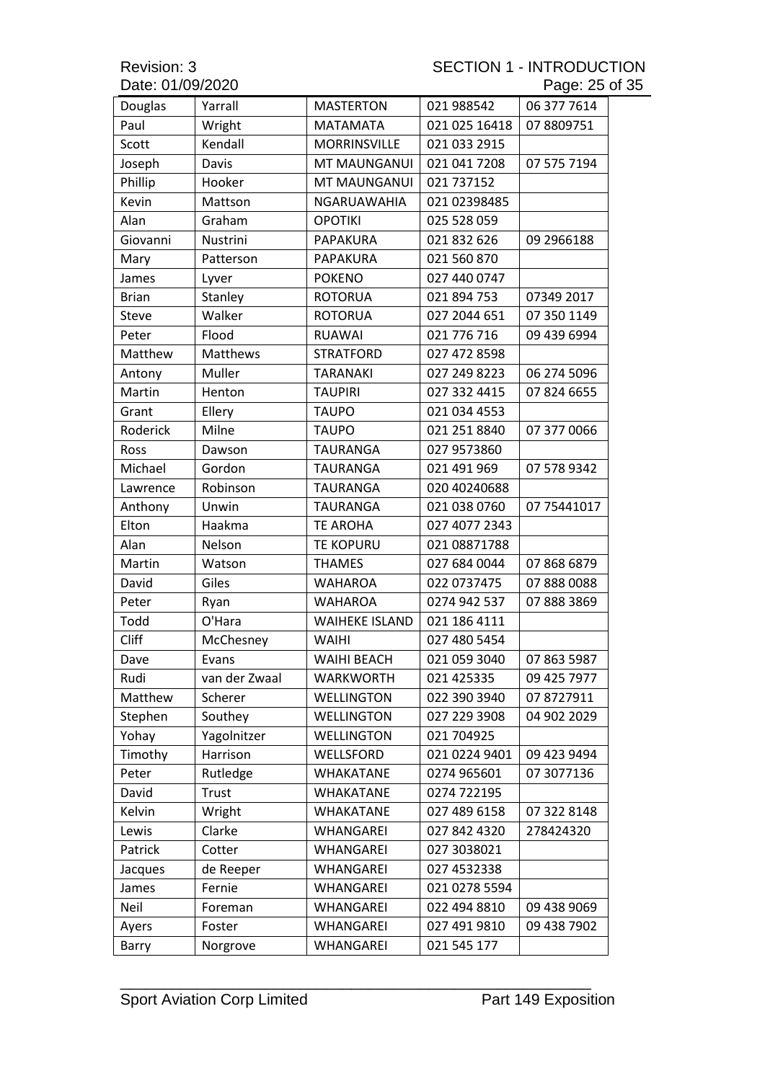#### Revision: 3<br>
Revision: 3 SECTION 1 - INTRODUCTION<br>
Page: 25 of 35 Page: 25 of 35

| Douglas<br>Yarrall<br><b>MASTERTON</b><br>021 988542<br>06 377 7614<br>Paul<br><b>MATAMATA</b><br>021 025 16418<br>Wright<br>07 8809751<br>Kendall<br>021 033 2915<br>Scott<br><b>MORRINSVILLE</b><br>MT MAUNGANUI<br>021 041 7208<br>07 575 7194<br>Joseph<br>Davis<br>Phillip<br>MT MAUNGANUI<br>021 737152<br>Hooker<br>Kevin<br>NGARUAWAHIA<br>021 02398485<br>Mattson<br>025 528 059<br>Alan<br>Graham<br><b>OPOTIKI</b><br>Giovanni<br>Nustrini<br>PAPAKURA<br>021 832 626<br>09 29 66188<br>PAPAKURA<br>021 560 870<br>Mary<br>Patterson<br><b>POKENO</b><br>027 440 0747<br>James<br>Lyver<br><b>Brian</b><br>Stanley<br><b>ROTORUA</b><br>021 894 753<br>07349 2017<br>Walker<br><b>ROTORUA</b><br>027 2044 651<br>07 350 1149<br><b>Steve</b><br>Flood<br><b>RUAWAI</b><br>021 776 716<br>09 439 6994<br>Peter<br>Matthew<br>Matthews<br><b>STRATFORD</b><br>027 472 8598<br>06 274 5096<br>Muller<br><b>TARANAKI</b><br>027 249 8223<br>Antony<br>Martin<br>027 332 4415<br>Henton<br><b>TAUPIRI</b><br>07 824 6655<br>Grant<br>Ellery<br><b>TAUPO</b><br>021 034 4553<br>Roderick<br>Milne<br><b>TAUPO</b><br>021 251 8840<br>07 377 0066<br><b>TAURANGA</b><br>027 9573860<br>Ross<br>Dawson<br>Michael<br>021 491 969<br>Gordon<br><b>TAURANGA</b><br>07 578 9342<br>020 40240688<br>Robinson<br><b>TAURANGA</b><br>Lawrence<br>07 75441017<br>Anthony<br>Unwin<br><b>TAURANGA</b><br>021 038 0760<br>Haakma<br><b>TE AROHA</b><br>027 4077 2343<br>Elton<br><b>TE KOPURU</b><br>Alan<br>Nelson<br>021 08871788<br>07 868 6879<br>Martin<br><b>THAMES</b><br>027 684 0044<br>Watson<br>David<br>Giles<br><b>WAHAROA</b><br>022 0737475<br>07 888 0088<br><b>WAHAROA</b><br>0274 942 537<br>Peter<br>Ryan<br>07 888 3869<br>O'Hara<br><b>WAIHEKE ISLAND</b><br>Todd<br>021 186 4111<br><b>Cliff</b><br>McChesney<br>WAIHI<br>027 480 5454<br><b>WAIHI BEACH</b><br>021 059 3040<br>07 863 5987<br>Dave<br>Evans<br>Rudi<br>van der Zwaal<br><b>WARKWORTH</b><br>021 425335<br>09 425 7977<br>Matthew<br>Scherer<br><b>WELLINGTON</b><br>022 390 3940<br>07 8727911<br>Stephen<br>Southey<br><b>WELLINGTON</b><br>027 229 3908<br>04 902 2029<br>Yagolnitzer<br><b>WELLINGTON</b><br>021 704925<br>Yohay<br>Timothy<br>09 423 9494<br>Harrison<br>021 0224 9401<br>WELLSFORD<br>Peter<br>Rutledge<br>07 3077136<br>WHAKATANE<br>0274 965601<br>David<br><b>Trust</b><br><b>WHAKATANE</b><br>0274 722195<br>Kelvin<br>Wright<br><b>WHAKATANE</b><br>027 489 6158<br>07 322 8148<br>Clarke<br>Lewis<br><b>WHANGAREI</b><br>027 842 4320<br>278424320<br>Patrick<br>Cotter<br>WHANGAREI<br>027 3038021<br>027 4532338<br>de Reeper<br>WHANGAREI<br>Jacques<br>Fernie<br>WHANGAREI<br>021 0278 5594<br>James<br>Neil<br>WHANGAREI<br>022 494 8810<br>Foreman<br>09 438 9069<br>WHANGAREI<br>027 491 9810<br>09 438 7902<br>Ayers<br>Foster<br>021 545 177<br>WHANGAREI<br>Barry<br>Norgrove |  |  | . ugu. 20 i |
|-----------------------------------------------------------------------------------------------------------------------------------------------------------------------------------------------------------------------------------------------------------------------------------------------------------------------------------------------------------------------------------------------------------------------------------------------------------------------------------------------------------------------------------------------------------------------------------------------------------------------------------------------------------------------------------------------------------------------------------------------------------------------------------------------------------------------------------------------------------------------------------------------------------------------------------------------------------------------------------------------------------------------------------------------------------------------------------------------------------------------------------------------------------------------------------------------------------------------------------------------------------------------------------------------------------------------------------------------------------------------------------------------------------------------------------------------------------------------------------------------------------------------------------------------------------------------------------------------------------------------------------------------------------------------------------------------------------------------------------------------------------------------------------------------------------------------------------------------------------------------------------------------------------------------------------------------------------------------------------------------------------------------------------------------------------------------------------------------------------------------------------------------------------------------------------------------------------------------------------------------------------------------------------------------------------------------------------------------------------------------------------------------------------------------------------------------------------------------------------------------------------------------------------------------------------------------------------------------------------------------------------------------------------------------------------------------------------------------------------------------------------------------------------------------------------------------------------------------------------------------------------------------------|--|--|-------------|
|                                                                                                                                                                                                                                                                                                                                                                                                                                                                                                                                                                                                                                                                                                                                                                                                                                                                                                                                                                                                                                                                                                                                                                                                                                                                                                                                                                                                                                                                                                                                                                                                                                                                                                                                                                                                                                                                                                                                                                                                                                                                                                                                                                                                                                                                                                                                                                                                                                                                                                                                                                                                                                                                                                                                                                                                                                                                                                     |  |  |             |
|                                                                                                                                                                                                                                                                                                                                                                                                                                                                                                                                                                                                                                                                                                                                                                                                                                                                                                                                                                                                                                                                                                                                                                                                                                                                                                                                                                                                                                                                                                                                                                                                                                                                                                                                                                                                                                                                                                                                                                                                                                                                                                                                                                                                                                                                                                                                                                                                                                                                                                                                                                                                                                                                                                                                                                                                                                                                                                     |  |  |             |
|                                                                                                                                                                                                                                                                                                                                                                                                                                                                                                                                                                                                                                                                                                                                                                                                                                                                                                                                                                                                                                                                                                                                                                                                                                                                                                                                                                                                                                                                                                                                                                                                                                                                                                                                                                                                                                                                                                                                                                                                                                                                                                                                                                                                                                                                                                                                                                                                                                                                                                                                                                                                                                                                                                                                                                                                                                                                                                     |  |  |             |
|                                                                                                                                                                                                                                                                                                                                                                                                                                                                                                                                                                                                                                                                                                                                                                                                                                                                                                                                                                                                                                                                                                                                                                                                                                                                                                                                                                                                                                                                                                                                                                                                                                                                                                                                                                                                                                                                                                                                                                                                                                                                                                                                                                                                                                                                                                                                                                                                                                                                                                                                                                                                                                                                                                                                                                                                                                                                                                     |  |  |             |
|                                                                                                                                                                                                                                                                                                                                                                                                                                                                                                                                                                                                                                                                                                                                                                                                                                                                                                                                                                                                                                                                                                                                                                                                                                                                                                                                                                                                                                                                                                                                                                                                                                                                                                                                                                                                                                                                                                                                                                                                                                                                                                                                                                                                                                                                                                                                                                                                                                                                                                                                                                                                                                                                                                                                                                                                                                                                                                     |  |  |             |
|                                                                                                                                                                                                                                                                                                                                                                                                                                                                                                                                                                                                                                                                                                                                                                                                                                                                                                                                                                                                                                                                                                                                                                                                                                                                                                                                                                                                                                                                                                                                                                                                                                                                                                                                                                                                                                                                                                                                                                                                                                                                                                                                                                                                                                                                                                                                                                                                                                                                                                                                                                                                                                                                                                                                                                                                                                                                                                     |  |  |             |
|                                                                                                                                                                                                                                                                                                                                                                                                                                                                                                                                                                                                                                                                                                                                                                                                                                                                                                                                                                                                                                                                                                                                                                                                                                                                                                                                                                                                                                                                                                                                                                                                                                                                                                                                                                                                                                                                                                                                                                                                                                                                                                                                                                                                                                                                                                                                                                                                                                                                                                                                                                                                                                                                                                                                                                                                                                                                                                     |  |  |             |
|                                                                                                                                                                                                                                                                                                                                                                                                                                                                                                                                                                                                                                                                                                                                                                                                                                                                                                                                                                                                                                                                                                                                                                                                                                                                                                                                                                                                                                                                                                                                                                                                                                                                                                                                                                                                                                                                                                                                                                                                                                                                                                                                                                                                                                                                                                                                                                                                                                                                                                                                                                                                                                                                                                                                                                                                                                                                                                     |  |  |             |
|                                                                                                                                                                                                                                                                                                                                                                                                                                                                                                                                                                                                                                                                                                                                                                                                                                                                                                                                                                                                                                                                                                                                                                                                                                                                                                                                                                                                                                                                                                                                                                                                                                                                                                                                                                                                                                                                                                                                                                                                                                                                                                                                                                                                                                                                                                                                                                                                                                                                                                                                                                                                                                                                                                                                                                                                                                                                                                     |  |  |             |
|                                                                                                                                                                                                                                                                                                                                                                                                                                                                                                                                                                                                                                                                                                                                                                                                                                                                                                                                                                                                                                                                                                                                                                                                                                                                                                                                                                                                                                                                                                                                                                                                                                                                                                                                                                                                                                                                                                                                                                                                                                                                                                                                                                                                                                                                                                                                                                                                                                                                                                                                                                                                                                                                                                                                                                                                                                                                                                     |  |  |             |
|                                                                                                                                                                                                                                                                                                                                                                                                                                                                                                                                                                                                                                                                                                                                                                                                                                                                                                                                                                                                                                                                                                                                                                                                                                                                                                                                                                                                                                                                                                                                                                                                                                                                                                                                                                                                                                                                                                                                                                                                                                                                                                                                                                                                                                                                                                                                                                                                                                                                                                                                                                                                                                                                                                                                                                                                                                                                                                     |  |  |             |
|                                                                                                                                                                                                                                                                                                                                                                                                                                                                                                                                                                                                                                                                                                                                                                                                                                                                                                                                                                                                                                                                                                                                                                                                                                                                                                                                                                                                                                                                                                                                                                                                                                                                                                                                                                                                                                                                                                                                                                                                                                                                                                                                                                                                                                                                                                                                                                                                                                                                                                                                                                                                                                                                                                                                                                                                                                                                                                     |  |  |             |
|                                                                                                                                                                                                                                                                                                                                                                                                                                                                                                                                                                                                                                                                                                                                                                                                                                                                                                                                                                                                                                                                                                                                                                                                                                                                                                                                                                                                                                                                                                                                                                                                                                                                                                                                                                                                                                                                                                                                                                                                                                                                                                                                                                                                                                                                                                                                                                                                                                                                                                                                                                                                                                                                                                                                                                                                                                                                                                     |  |  |             |
|                                                                                                                                                                                                                                                                                                                                                                                                                                                                                                                                                                                                                                                                                                                                                                                                                                                                                                                                                                                                                                                                                                                                                                                                                                                                                                                                                                                                                                                                                                                                                                                                                                                                                                                                                                                                                                                                                                                                                                                                                                                                                                                                                                                                                                                                                                                                                                                                                                                                                                                                                                                                                                                                                                                                                                                                                                                                                                     |  |  |             |
|                                                                                                                                                                                                                                                                                                                                                                                                                                                                                                                                                                                                                                                                                                                                                                                                                                                                                                                                                                                                                                                                                                                                                                                                                                                                                                                                                                                                                                                                                                                                                                                                                                                                                                                                                                                                                                                                                                                                                                                                                                                                                                                                                                                                                                                                                                                                                                                                                                                                                                                                                                                                                                                                                                                                                                                                                                                                                                     |  |  |             |
|                                                                                                                                                                                                                                                                                                                                                                                                                                                                                                                                                                                                                                                                                                                                                                                                                                                                                                                                                                                                                                                                                                                                                                                                                                                                                                                                                                                                                                                                                                                                                                                                                                                                                                                                                                                                                                                                                                                                                                                                                                                                                                                                                                                                                                                                                                                                                                                                                                                                                                                                                                                                                                                                                                                                                                                                                                                                                                     |  |  |             |
|                                                                                                                                                                                                                                                                                                                                                                                                                                                                                                                                                                                                                                                                                                                                                                                                                                                                                                                                                                                                                                                                                                                                                                                                                                                                                                                                                                                                                                                                                                                                                                                                                                                                                                                                                                                                                                                                                                                                                                                                                                                                                                                                                                                                                                                                                                                                                                                                                                                                                                                                                                                                                                                                                                                                                                                                                                                                                                     |  |  |             |
|                                                                                                                                                                                                                                                                                                                                                                                                                                                                                                                                                                                                                                                                                                                                                                                                                                                                                                                                                                                                                                                                                                                                                                                                                                                                                                                                                                                                                                                                                                                                                                                                                                                                                                                                                                                                                                                                                                                                                                                                                                                                                                                                                                                                                                                                                                                                                                                                                                                                                                                                                                                                                                                                                                                                                                                                                                                                                                     |  |  |             |
|                                                                                                                                                                                                                                                                                                                                                                                                                                                                                                                                                                                                                                                                                                                                                                                                                                                                                                                                                                                                                                                                                                                                                                                                                                                                                                                                                                                                                                                                                                                                                                                                                                                                                                                                                                                                                                                                                                                                                                                                                                                                                                                                                                                                                                                                                                                                                                                                                                                                                                                                                                                                                                                                                                                                                                                                                                                                                                     |  |  |             |
|                                                                                                                                                                                                                                                                                                                                                                                                                                                                                                                                                                                                                                                                                                                                                                                                                                                                                                                                                                                                                                                                                                                                                                                                                                                                                                                                                                                                                                                                                                                                                                                                                                                                                                                                                                                                                                                                                                                                                                                                                                                                                                                                                                                                                                                                                                                                                                                                                                                                                                                                                                                                                                                                                                                                                                                                                                                                                                     |  |  |             |
|                                                                                                                                                                                                                                                                                                                                                                                                                                                                                                                                                                                                                                                                                                                                                                                                                                                                                                                                                                                                                                                                                                                                                                                                                                                                                                                                                                                                                                                                                                                                                                                                                                                                                                                                                                                                                                                                                                                                                                                                                                                                                                                                                                                                                                                                                                                                                                                                                                                                                                                                                                                                                                                                                                                                                                                                                                                                                                     |  |  |             |
|                                                                                                                                                                                                                                                                                                                                                                                                                                                                                                                                                                                                                                                                                                                                                                                                                                                                                                                                                                                                                                                                                                                                                                                                                                                                                                                                                                                                                                                                                                                                                                                                                                                                                                                                                                                                                                                                                                                                                                                                                                                                                                                                                                                                                                                                                                                                                                                                                                                                                                                                                                                                                                                                                                                                                                                                                                                                                                     |  |  |             |
|                                                                                                                                                                                                                                                                                                                                                                                                                                                                                                                                                                                                                                                                                                                                                                                                                                                                                                                                                                                                                                                                                                                                                                                                                                                                                                                                                                                                                                                                                                                                                                                                                                                                                                                                                                                                                                                                                                                                                                                                                                                                                                                                                                                                                                                                                                                                                                                                                                                                                                                                                                                                                                                                                                                                                                                                                                                                                                     |  |  |             |
|                                                                                                                                                                                                                                                                                                                                                                                                                                                                                                                                                                                                                                                                                                                                                                                                                                                                                                                                                                                                                                                                                                                                                                                                                                                                                                                                                                                                                                                                                                                                                                                                                                                                                                                                                                                                                                                                                                                                                                                                                                                                                                                                                                                                                                                                                                                                                                                                                                                                                                                                                                                                                                                                                                                                                                                                                                                                                                     |  |  |             |
|                                                                                                                                                                                                                                                                                                                                                                                                                                                                                                                                                                                                                                                                                                                                                                                                                                                                                                                                                                                                                                                                                                                                                                                                                                                                                                                                                                                                                                                                                                                                                                                                                                                                                                                                                                                                                                                                                                                                                                                                                                                                                                                                                                                                                                                                                                                                                                                                                                                                                                                                                                                                                                                                                                                                                                                                                                                                                                     |  |  |             |
|                                                                                                                                                                                                                                                                                                                                                                                                                                                                                                                                                                                                                                                                                                                                                                                                                                                                                                                                                                                                                                                                                                                                                                                                                                                                                                                                                                                                                                                                                                                                                                                                                                                                                                                                                                                                                                                                                                                                                                                                                                                                                                                                                                                                                                                                                                                                                                                                                                                                                                                                                                                                                                                                                                                                                                                                                                                                                                     |  |  |             |
|                                                                                                                                                                                                                                                                                                                                                                                                                                                                                                                                                                                                                                                                                                                                                                                                                                                                                                                                                                                                                                                                                                                                                                                                                                                                                                                                                                                                                                                                                                                                                                                                                                                                                                                                                                                                                                                                                                                                                                                                                                                                                                                                                                                                                                                                                                                                                                                                                                                                                                                                                                                                                                                                                                                                                                                                                                                                                                     |  |  |             |
|                                                                                                                                                                                                                                                                                                                                                                                                                                                                                                                                                                                                                                                                                                                                                                                                                                                                                                                                                                                                                                                                                                                                                                                                                                                                                                                                                                                                                                                                                                                                                                                                                                                                                                                                                                                                                                                                                                                                                                                                                                                                                                                                                                                                                                                                                                                                                                                                                                                                                                                                                                                                                                                                                                                                                                                                                                                                                                     |  |  |             |
|                                                                                                                                                                                                                                                                                                                                                                                                                                                                                                                                                                                                                                                                                                                                                                                                                                                                                                                                                                                                                                                                                                                                                                                                                                                                                                                                                                                                                                                                                                                                                                                                                                                                                                                                                                                                                                                                                                                                                                                                                                                                                                                                                                                                                                                                                                                                                                                                                                                                                                                                                                                                                                                                                                                                                                                                                                                                                                     |  |  |             |
|                                                                                                                                                                                                                                                                                                                                                                                                                                                                                                                                                                                                                                                                                                                                                                                                                                                                                                                                                                                                                                                                                                                                                                                                                                                                                                                                                                                                                                                                                                                                                                                                                                                                                                                                                                                                                                                                                                                                                                                                                                                                                                                                                                                                                                                                                                                                                                                                                                                                                                                                                                                                                                                                                                                                                                                                                                                                                                     |  |  |             |
|                                                                                                                                                                                                                                                                                                                                                                                                                                                                                                                                                                                                                                                                                                                                                                                                                                                                                                                                                                                                                                                                                                                                                                                                                                                                                                                                                                                                                                                                                                                                                                                                                                                                                                                                                                                                                                                                                                                                                                                                                                                                                                                                                                                                                                                                                                                                                                                                                                                                                                                                                                                                                                                                                                                                                                                                                                                                                                     |  |  |             |
|                                                                                                                                                                                                                                                                                                                                                                                                                                                                                                                                                                                                                                                                                                                                                                                                                                                                                                                                                                                                                                                                                                                                                                                                                                                                                                                                                                                                                                                                                                                                                                                                                                                                                                                                                                                                                                                                                                                                                                                                                                                                                                                                                                                                                                                                                                                                                                                                                                                                                                                                                                                                                                                                                                                                                                                                                                                                                                     |  |  |             |
|                                                                                                                                                                                                                                                                                                                                                                                                                                                                                                                                                                                                                                                                                                                                                                                                                                                                                                                                                                                                                                                                                                                                                                                                                                                                                                                                                                                                                                                                                                                                                                                                                                                                                                                                                                                                                                                                                                                                                                                                                                                                                                                                                                                                                                                                                                                                                                                                                                                                                                                                                                                                                                                                                                                                                                                                                                                                                                     |  |  |             |
|                                                                                                                                                                                                                                                                                                                                                                                                                                                                                                                                                                                                                                                                                                                                                                                                                                                                                                                                                                                                                                                                                                                                                                                                                                                                                                                                                                                                                                                                                                                                                                                                                                                                                                                                                                                                                                                                                                                                                                                                                                                                                                                                                                                                                                                                                                                                                                                                                                                                                                                                                                                                                                                                                                                                                                                                                                                                                                     |  |  |             |
|                                                                                                                                                                                                                                                                                                                                                                                                                                                                                                                                                                                                                                                                                                                                                                                                                                                                                                                                                                                                                                                                                                                                                                                                                                                                                                                                                                                                                                                                                                                                                                                                                                                                                                                                                                                                                                                                                                                                                                                                                                                                                                                                                                                                                                                                                                                                                                                                                                                                                                                                                                                                                                                                                                                                                                                                                                                                                                     |  |  |             |
|                                                                                                                                                                                                                                                                                                                                                                                                                                                                                                                                                                                                                                                                                                                                                                                                                                                                                                                                                                                                                                                                                                                                                                                                                                                                                                                                                                                                                                                                                                                                                                                                                                                                                                                                                                                                                                                                                                                                                                                                                                                                                                                                                                                                                                                                                                                                                                                                                                                                                                                                                                                                                                                                                                                                                                                                                                                                                                     |  |  |             |
|                                                                                                                                                                                                                                                                                                                                                                                                                                                                                                                                                                                                                                                                                                                                                                                                                                                                                                                                                                                                                                                                                                                                                                                                                                                                                                                                                                                                                                                                                                                                                                                                                                                                                                                                                                                                                                                                                                                                                                                                                                                                                                                                                                                                                                                                                                                                                                                                                                                                                                                                                                                                                                                                                                                                                                                                                                                                                                     |  |  |             |
|                                                                                                                                                                                                                                                                                                                                                                                                                                                                                                                                                                                                                                                                                                                                                                                                                                                                                                                                                                                                                                                                                                                                                                                                                                                                                                                                                                                                                                                                                                                                                                                                                                                                                                                                                                                                                                                                                                                                                                                                                                                                                                                                                                                                                                                                                                                                                                                                                                                                                                                                                                                                                                                                                                                                                                                                                                                                                                     |  |  |             |
|                                                                                                                                                                                                                                                                                                                                                                                                                                                                                                                                                                                                                                                                                                                                                                                                                                                                                                                                                                                                                                                                                                                                                                                                                                                                                                                                                                                                                                                                                                                                                                                                                                                                                                                                                                                                                                                                                                                                                                                                                                                                                                                                                                                                                                                                                                                                                                                                                                                                                                                                                                                                                                                                                                                                                                                                                                                                                                     |  |  |             |
|                                                                                                                                                                                                                                                                                                                                                                                                                                                                                                                                                                                                                                                                                                                                                                                                                                                                                                                                                                                                                                                                                                                                                                                                                                                                                                                                                                                                                                                                                                                                                                                                                                                                                                                                                                                                                                                                                                                                                                                                                                                                                                                                                                                                                                                                                                                                                                                                                                                                                                                                                                                                                                                                                                                                                                                                                                                                                                     |  |  |             |
|                                                                                                                                                                                                                                                                                                                                                                                                                                                                                                                                                                                                                                                                                                                                                                                                                                                                                                                                                                                                                                                                                                                                                                                                                                                                                                                                                                                                                                                                                                                                                                                                                                                                                                                                                                                                                                                                                                                                                                                                                                                                                                                                                                                                                                                                                                                                                                                                                                                                                                                                                                                                                                                                                                                                                                                                                                                                                                     |  |  |             |
|                                                                                                                                                                                                                                                                                                                                                                                                                                                                                                                                                                                                                                                                                                                                                                                                                                                                                                                                                                                                                                                                                                                                                                                                                                                                                                                                                                                                                                                                                                                                                                                                                                                                                                                                                                                                                                                                                                                                                                                                                                                                                                                                                                                                                                                                                                                                                                                                                                                                                                                                                                                                                                                                                                                                                                                                                                                                                                     |  |  |             |
|                                                                                                                                                                                                                                                                                                                                                                                                                                                                                                                                                                                                                                                                                                                                                                                                                                                                                                                                                                                                                                                                                                                                                                                                                                                                                                                                                                                                                                                                                                                                                                                                                                                                                                                                                                                                                                                                                                                                                                                                                                                                                                                                                                                                                                                                                                                                                                                                                                                                                                                                                                                                                                                                                                                                                                                                                                                                                                     |  |  |             |
|                                                                                                                                                                                                                                                                                                                                                                                                                                                                                                                                                                                                                                                                                                                                                                                                                                                                                                                                                                                                                                                                                                                                                                                                                                                                                                                                                                                                                                                                                                                                                                                                                                                                                                                                                                                                                                                                                                                                                                                                                                                                                                                                                                                                                                                                                                                                                                                                                                                                                                                                                                                                                                                                                                                                                                                                                                                                                                     |  |  |             |
|                                                                                                                                                                                                                                                                                                                                                                                                                                                                                                                                                                                                                                                                                                                                                                                                                                                                                                                                                                                                                                                                                                                                                                                                                                                                                                                                                                                                                                                                                                                                                                                                                                                                                                                                                                                                                                                                                                                                                                                                                                                                                                                                                                                                                                                                                                                                                                                                                                                                                                                                                                                                                                                                                                                                                                                                                                                                                                     |  |  |             |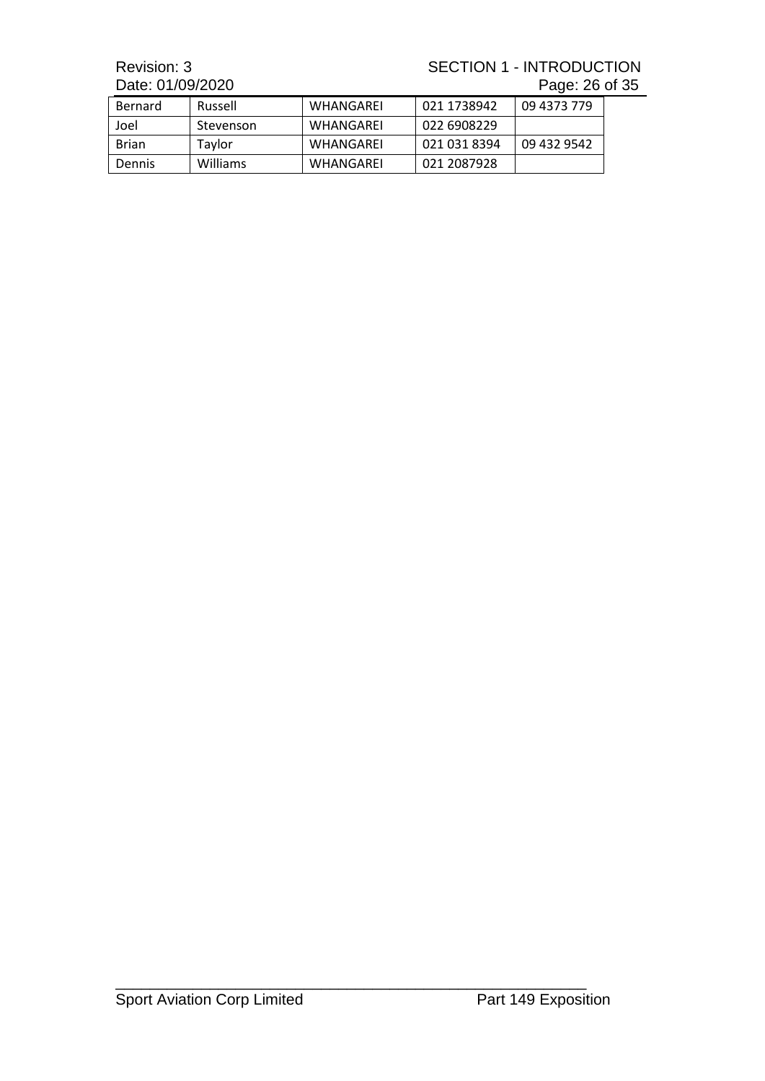Date: 01/09/2020

# Revision: 3 SECTION 1 - INTRODUCTION<br>Date: 01/09/2020 Page: 26 of 35

| Bernard       | Russell   | WHANGAREI | 021 1738942  | 09 4373 779 |
|---------------|-----------|-----------|--------------|-------------|
| Joel          | Stevenson | WHANGAREI | 022 6908229  |             |
| <b>Brian</b>  | Tavlor    | WHANGAREI | 021 031 8394 | 09 432 9542 |
| <b>Dennis</b> | Williams  | WHANGAREI | 021 2087928  |             |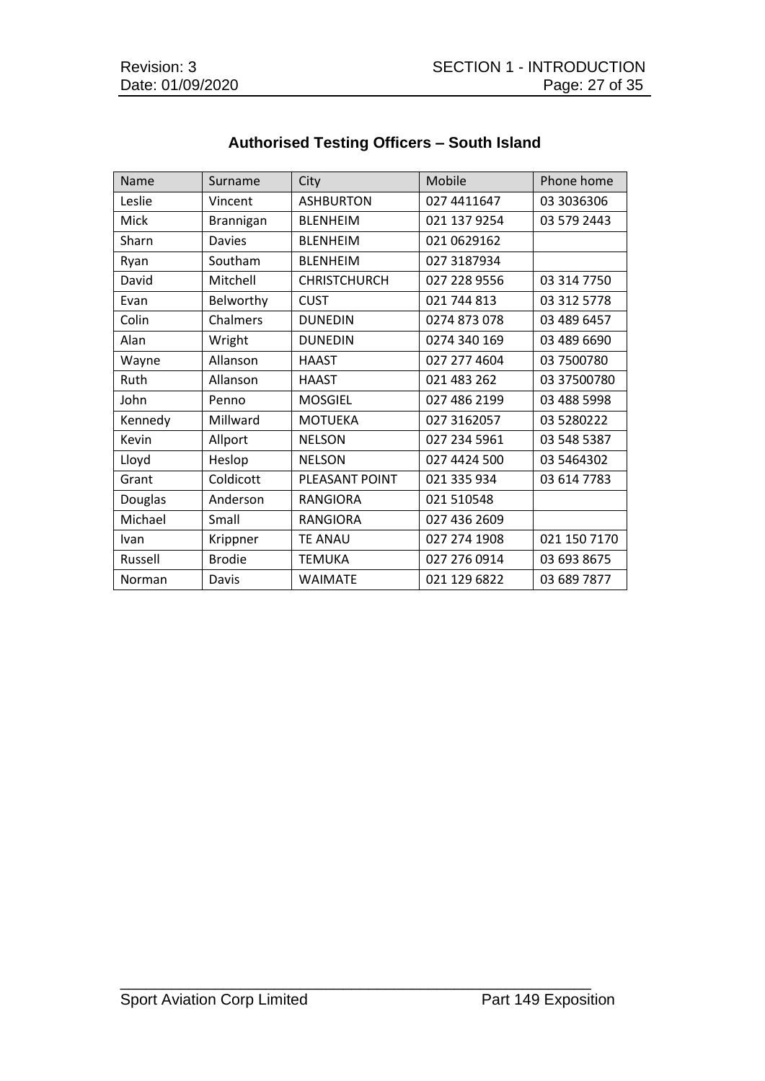| Name    | Surname       | City                | Mobile       | Phone home   |
|---------|---------------|---------------------|--------------|--------------|
| Leslie  | Vincent       | <b>ASHBURTON</b>    | 027 4411647  | 03 3036306   |
| Mick    | Brannigan     | <b>BLENHEIM</b>     | 021 137 9254 | 03 579 2443  |
| Sharn   | <b>Davies</b> | <b>BLENHEIM</b>     | 021 0629162  |              |
| Ryan    | Southam       | <b>BLENHEIM</b>     | 027 3187934  |              |
| David   | Mitchell      | <b>CHRISTCHURCH</b> | 027 228 9556 | 03 314 7750  |
| Evan    | Belworthy     | <b>CUST</b>         | 021 744 813  | 03 312 5778  |
| Colin   | Chalmers      | <b>DUNEDIN</b>      | 0274 873 078 | 03 489 6457  |
| Alan    | Wright        | <b>DUNEDIN</b>      | 0274 340 169 | 03 489 6690  |
| Wayne   | Allanson      | <b>HAAST</b>        | 027 277 4604 | 03 7500780   |
| Ruth    | Allanson      | <b>HAAST</b>        | 021 483 262  | 03 37500780  |
| John    | Penno         | <b>MOSGIEL</b>      | 027 486 2199 | 03 488 5998  |
| Kennedy | Millward      | <b>MOTUEKA</b>      | 027 3162057  | 03 5280222   |
| Kevin   | Allport       | <b>NELSON</b>       | 027 234 5961 | 03 548 5387  |
| Lloyd   | Heslop        | <b>NELSON</b>       | 027 4424 500 | 03 5464302   |
| Grant   | Coldicott     | PLEASANT POINT      | 021 335 934  | 03 614 7783  |
| Douglas | Anderson      | <b>RANGIORA</b>     | 021 510548   |              |
| Michael | Small         | <b>RANGIORA</b>     | 027 436 2609 |              |
| Ivan    | Krippner      | <b>TE ANAU</b>      | 027 274 1908 | 021 150 7170 |
| Russell | <b>Brodie</b> | <b>TEMUKA</b>       | 027 276 0914 | 03 693 8675  |
| Norman  | Davis         | <b>WAIMATE</b>      | 021 129 6822 | 03 689 7877  |

# **Authorised Testing Officers – South Island**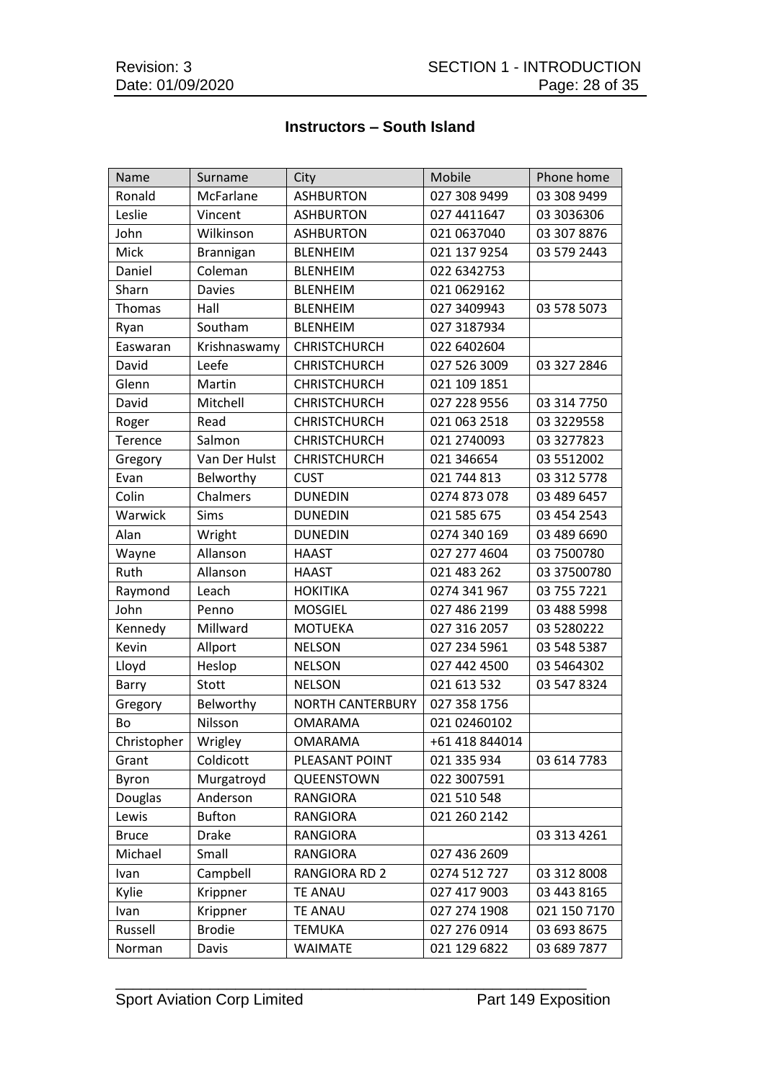#### **Instructors – South Island**

| Name          | Surname       | City                    | Mobile         | Phone home    |
|---------------|---------------|-------------------------|----------------|---------------|
| Ronald        | McFarlane     | <b>ASHBURTON</b>        | 027 308 9499   | 03 308 9499   |
| Leslie        | Vincent       | <b>ASHBURTON</b>        | 027 4411647    | 03 3036306    |
| John          | Wilkinson     | <b>ASHBURTON</b>        | 021 0637040    | 03 307 8876   |
| Mick          | Brannigan     | <b>BLENHEIM</b>         | 021 137 9254   | 03 579 2443   |
| Daniel        | Coleman       | <b>BLENHEIM</b>         | 022 6342753    |               |
| Sharn         | <b>Davies</b> | <b>BLENHEIM</b>         | 021 0629162    |               |
| <b>Thomas</b> | Hall          | <b>BLENHEIM</b>         | 027 3409943    | 03 578 5073   |
| Ryan          | Southam       | <b>BLENHEIM</b>         | 027 3187934    |               |
| Easwaran      | Krishnaswamy  | <b>CHRISTCHURCH</b>     | 022 6402604    |               |
| David         | Leefe         | <b>CHRISTCHURCH</b>     | 027 526 3009   | 03 327 2846   |
| Glenn         | Martin        | <b>CHRISTCHURCH</b>     | 021 109 1851   |               |
| David         | Mitchell      | <b>CHRISTCHURCH</b>     | 027 228 9556   | 03 314 7750   |
| Roger         | Read          | <b>CHRISTCHURCH</b>     | 021 063 2518   | 03 3229558    |
| Terence       | Salmon        | <b>CHRISTCHURCH</b>     | 021 2740093    | 03 3277823    |
| Gregory       | Van Der Hulst | <b>CHRISTCHURCH</b>     | 021 346654     | 03 5512002    |
| Evan          | Belworthy     | <b>CUST</b>             | 021 744 813    | 03 312 5778   |
| Colin         | Chalmers      | <b>DUNEDIN</b>          | 0274 873 078   | 03 489 6457   |
| Warwick       | Sims          | <b>DUNEDIN</b>          | 021 585 675    | 03 454 2543   |
| Alan          | Wright        | <b>DUNEDIN</b>          | 0274 340 169   | 03 489 6690   |
| Wayne         | Allanson      | <b>HAAST</b>            | 027 277 4604   | 03 7500780    |
| Ruth          | Allanson      | <b>HAAST</b>            | 021 483 262    | 03 37500780   |
| Raymond       | Leach         | <b>HOKITIKA</b>         | 0274 341 967   | 03 755 7221   |
| John          | Penno         | <b>MOSGIEL</b>          | 027 486 2199   | 03 488 5998   |
| Kennedy       | Millward      | <b>MOTUEKA</b>          | 027 316 2057   | 03 5280222    |
| Kevin         | Allport       | <b>NELSON</b>           | 027 234 5961   | 03 548 5387   |
| Lloyd         | Heslop        | <b>NELSON</b>           | 027 442 4500   | 03 54 64 30 2 |
| Barry         | Stott         | <b>NELSON</b>           | 021 613 532    | 03 547 8324   |
| Gregory       | Belworthy     | <b>NORTH CANTERBURY</b> | 027 358 1756   |               |
| Bo            | Nilsson       | <b>OMARAMA</b>          | 021 02460102   |               |
| Christopher   | Wrigley       | OMARAMA                 | +61 418 844014 |               |
| Grant         | Coldicott     | PLEASANT POINT          | 021 335 934    | 03 614 7783   |
| Byron         | Murgatroyd    | QUEENSTOWN              | 022 3007591    |               |
| Douglas       | Anderson      | <b>RANGIORA</b>         | 021 510 548    |               |
| Lewis         | <b>Bufton</b> | <b>RANGIORA</b>         | 021 260 2142   |               |
| <b>Bruce</b>  | <b>Drake</b>  | <b>RANGIORA</b>         |                | 03 313 4261   |
| Michael       | Small         | <b>RANGIORA</b>         | 027 436 2609   |               |
| Ivan          | Campbell      | RANGIORA RD 2           | 0274 512 727   | 03 312 8008   |
| Kylie         | Krippner      | <b>TE ANAU</b>          | 027 417 9003   | 03 443 8165   |
| Ivan          | Krippner      | <b>TE ANAU</b>          | 027 274 1908   | 021 150 7170  |
| Russell       | <b>Brodie</b> | <b>TEMUKA</b>           | 027 276 0914   | 03 693 8675   |
| Norman        | Davis         | <b>WAIMATE</b>          | 021 129 6822   | 03 689 7877   |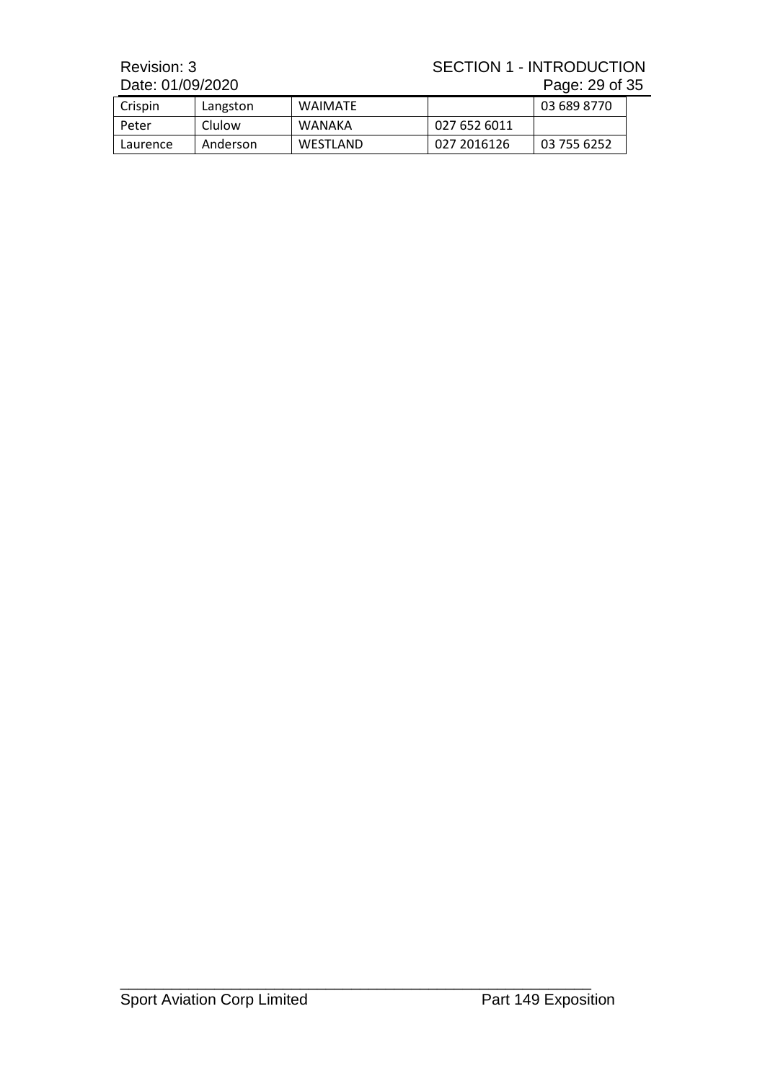Date: 01/09/2020

# Revision: 3 SECTION 1 - INTRODUCTION<br>Date: 01/09/2020 Page: 29 of 35

| Crispin  | Langston | <b>WAIMATF</b> |              | 03 689 8770 |
|----------|----------|----------------|--------------|-------------|
| Peter    | Clulow   | WANAKA         | 027 652 6011 |             |
| Laurence | Anderson | WESTLAND       | 027 2016126  | 03 755 6252 |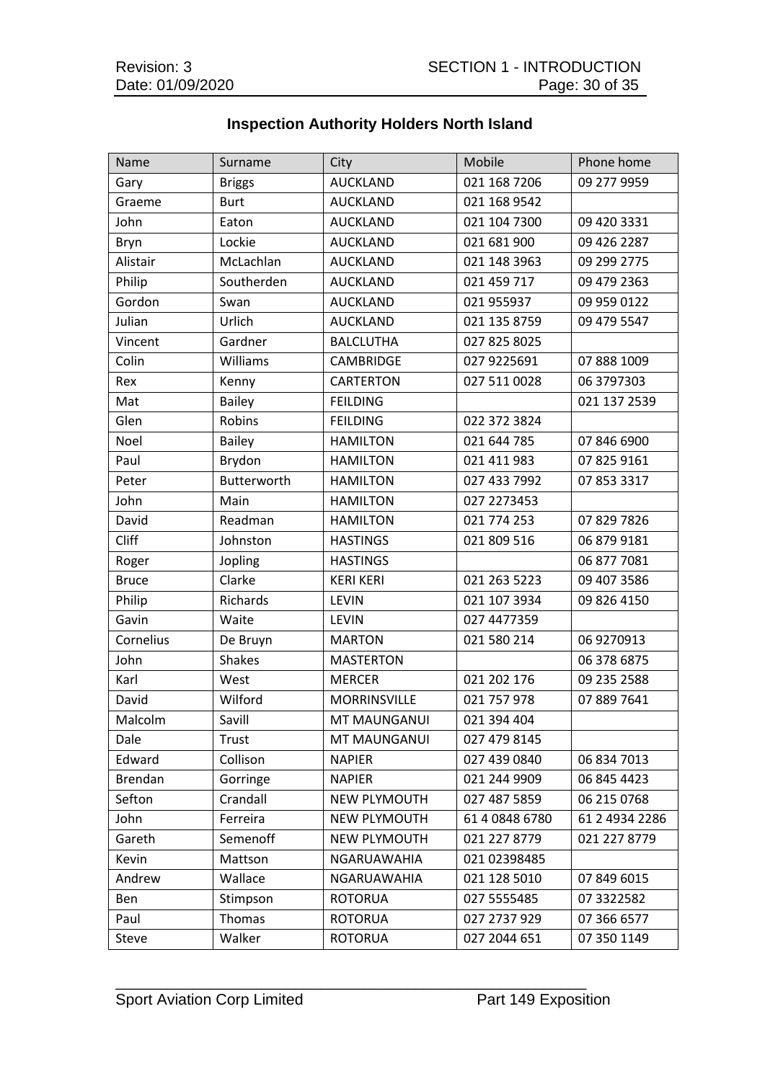| Name           | Surname       | City                | Mobile         | Phone home     |
|----------------|---------------|---------------------|----------------|----------------|
| Gary           | <b>Briggs</b> | <b>AUCKLAND</b>     | 021 168 7206   | 09 277 9959    |
| Graeme         | <b>Burt</b>   | <b>AUCKLAND</b>     | 021 168 9542   |                |
| John           | Eaton         | <b>AUCKLAND</b>     | 021 104 7300   | 09 420 3331    |
| Bryn           | Lockie        | <b>AUCKLAND</b>     | 021 681 900    | 09 426 2287    |
| Alistair       | McLachlan     | <b>AUCKLAND</b>     | 021 148 3963   | 09 299 2775    |
| Philip         | Southerden    | <b>AUCKLAND</b>     | 021 459 717    | 09 479 2363    |
| Gordon         | Swan          | <b>AUCKLAND</b>     | 021 955937     | 09 959 0122    |
| Julian         | Urlich        | <b>AUCKLAND</b>     | 021 135 8759   | 09 479 5547    |
| Vincent        | Gardner       | <b>BALCLUTHA</b>    | 027 825 8025   |                |
| Colin          | Williams      | CAMBRIDGE           | 027 9225691    | 07 888 1009    |
| Rex            | Kenny         | <b>CARTERTON</b>    | 027 511 0028   | 06 3797303     |
| Mat            | <b>Bailey</b> | <b>FEILDING</b>     |                | 021 137 2539   |
| Glen           | Robins        | <b>FEILDING</b>     | 022 372 3824   |                |
| Noel           | <b>Bailey</b> | <b>HAMILTON</b>     | 021 644 785    | 07 846 6900    |
| Paul           | Brydon        | <b>HAMILTON</b>     | 021 411 983    | 07 825 9161    |
| Peter          | Butterworth   | <b>HAMILTON</b>     | 027 433 7992   | 07 853 3317    |
| John           | Main          | <b>HAMILTON</b>     | 027 2273453    |                |
| David          | Readman       | <b>HAMILTON</b>     | 021 774 253    | 07 829 7826    |
| <b>Cliff</b>   | Johnston      | <b>HASTINGS</b>     | 021 809 516    | 06 879 9181    |
| Roger          | Jopling       | <b>HASTINGS</b>     |                | 06 877 7081    |
| <b>Bruce</b>   | Clarke        | <b>KERI KERI</b>    | 021 263 5223   | 09 407 3586    |
| Philip         | Richards      | <b>LEVIN</b>        | 021 107 3934   | 09 826 4150    |
| Gavin          | Waite         | <b>LEVIN</b>        | 027 4477359    |                |
| Cornelius      | De Bruyn      | <b>MARTON</b>       | 021 580 214    | 06 9270913     |
| John           | <b>Shakes</b> | <b>MASTERTON</b>    |                | 06 378 6875    |
| Karl           | West          | <b>MERCER</b>       | 021 202 176    | 09 235 2588    |
| David          | Wilford       | <b>MORRINSVILLE</b> | 021 757 978    | 07 889 7641    |
| Malcolm        | Savill        | <b>MT MAUNGANUI</b> | 021 394 404    |                |
| Dale           | Trust         | MT MAUNGANUI        | 027 479 8145   |                |
| Edward         | Collison      | <b>NAPIER</b>       | 027 439 0840   | 06 834 7013    |
| <b>Brendan</b> | Gorringe      | <b>NAPIER</b>       | 021 244 9909   | 06 845 4423    |
| Sefton         | Crandall      | <b>NEW PLYMOUTH</b> | 027 487 5859   | 06 215 0768    |
| John           | Ferreira      | NEW PLYMOUTH        | 61 4 0848 6780 | 61 2 4934 2286 |
| Gareth         | Semenoff      | <b>NEW PLYMOUTH</b> | 021 227 8779   | 021 227 8779   |
| Kevin          | Mattson       | <b>NGARUAWAHIA</b>  | 021 02398485   |                |
| Andrew         | Wallace       | NGARUAWAHIA         | 021 128 5010   | 07 849 6015    |
| Ben            | Stimpson      | <b>ROTORUA</b>      | 027 5555485    | 07 3322582     |
| Paul           | Thomas        | <b>ROTORUA</b>      | 027 2737 929   | 07 366 6577    |
| Steve          | Walker        | <b>ROTORUA</b>      | 027 2044 651   | 07 350 1149    |

# **Inspection Authority Holders North Island**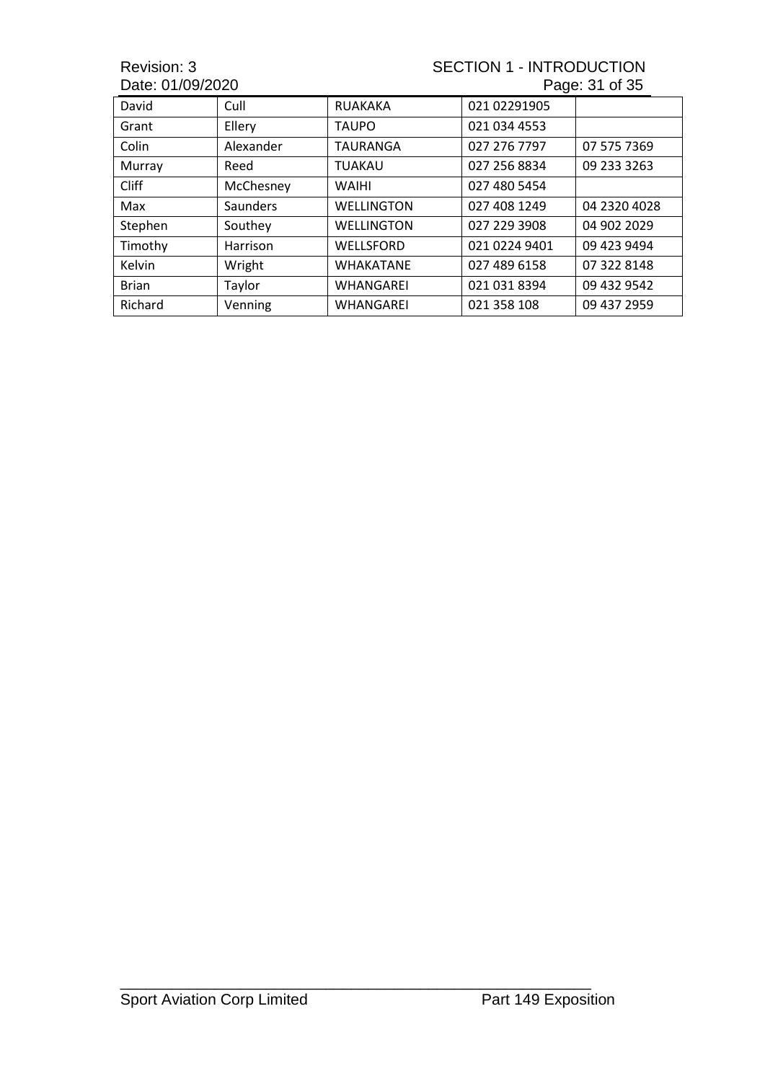Date: 01/09/2020

# Revision: 3<br>
Date: 01/09/2020<br>
Date: 01/09/2020<br>
Rage: 31 of 35

|               |                 |                   | ີບ⊺           |              |
|---------------|-----------------|-------------------|---------------|--------------|
| David         | Cull            | <b>RUAKAKA</b>    | 021 02291905  |              |
| Grant         | Ellery          | <b>TAUPO</b>      | 021 034 4553  |              |
| Colin         | Alexander       | <b>TAURANGA</b>   | 027 276 7797  | 07 575 7369  |
| Murray        | Reed            | <b>TUAKAU</b>     | 027 256 8834  | 09 233 3263  |
| <b>Cliff</b>  | McChesney       | <b>WAIHI</b>      | 027 480 5454  |              |
| Max           | <b>Saunders</b> | <b>WELLINGTON</b> | 027 408 1249  | 04 2320 4028 |
| Stephen       | Southey         | <b>WELLINGTON</b> | 027 229 3908  | 04 902 2029  |
| Timothy       | Harrison        | <b>WELLSFORD</b>  | 021 0224 9401 | 09 423 9494  |
| <b>Kelvin</b> | Wright          | <b>WHAKATANE</b>  | 027 489 6158  | 07 322 8148  |
| <b>Brian</b>  | Taylor          | <b>WHANGAREI</b>  | 021 031 8394  | 09 432 9542  |
| Richard       | Venning         | <b>WHANGAREI</b>  | 021 358 108   | 09 437 2959  |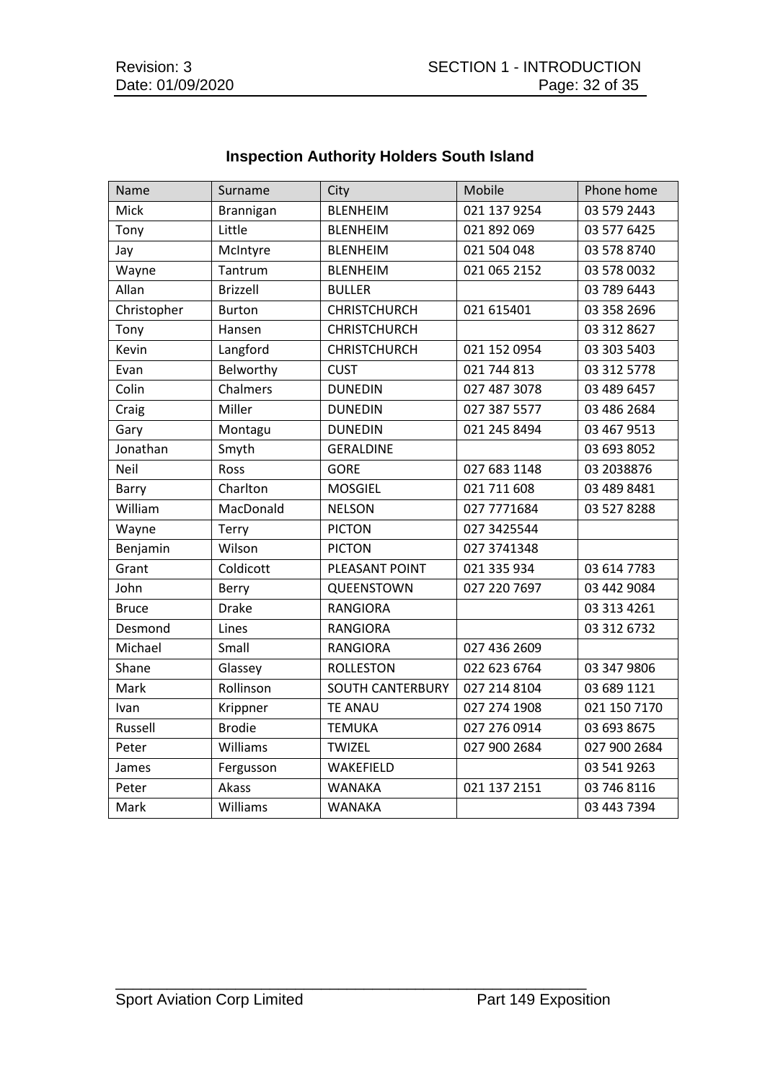| Name         | Surname         | City                    | Mobile       | Phone home   |
|--------------|-----------------|-------------------------|--------------|--------------|
| Mick         | Brannigan       | <b>BLENHEIM</b>         | 021 137 9254 | 03 579 2443  |
| Tony         | Little          | <b>BLENHEIM</b>         | 021 892 069  | 03 577 6425  |
| Jay          | McIntyre        | <b>BLENHEIM</b>         | 021 504 048  | 03 578 8740  |
| Wayne        | Tantrum         | <b>BLENHEIM</b>         | 021 065 2152 | 03 578 0032  |
| Allan        | <b>Brizzell</b> | <b>BULLER</b>           |              | 03 789 6443  |
| Christopher  | <b>Burton</b>   | <b>CHRISTCHURCH</b>     | 021 615401   | 03 358 2696  |
| Tony         | Hansen          | <b>CHRISTCHURCH</b>     |              | 03 312 8627  |
| Kevin        | Langford        | <b>CHRISTCHURCH</b>     | 021 152 0954 | 03 303 5403  |
| Evan         | Belworthy       | <b>CUST</b>             | 021 744 813  | 03 312 5778  |
| Colin        | Chalmers        | <b>DUNEDIN</b>          | 027 487 3078 | 03 489 6457  |
| Craig        | Miller          | <b>DUNEDIN</b>          | 027 387 5577 | 03 486 2684  |
| Gary         | Montagu         | <b>DUNEDIN</b>          | 021 245 8494 | 03 467 9513  |
| Jonathan     | Smyth           | <b>GERALDINE</b>        |              | 03 693 8052  |
| Neil         | Ross            | <b>GORE</b>             | 027 683 1148 | 03 2038876   |
| Barry        | Charlton        | <b>MOSGIEL</b>          | 021 711 608  | 03 489 8481  |
| William      | MacDonald       | <b>NELSON</b>           | 027 7771684  | 03 527 8288  |
| Wayne        | Terry           | <b>PICTON</b>           | 027 3425544  |              |
| Benjamin     | Wilson          | <b>PICTON</b>           | 027 3741348  |              |
| Grant        | Coldicott       | PLEASANT POINT          | 021 335 934  | 03 614 7783  |
| John         | Berry           | QUEENSTOWN              | 027 220 7697 | 03 442 9084  |
| <b>Bruce</b> | <b>Drake</b>    | <b>RANGIORA</b>         |              | 03 313 4261  |
| Desmond      | Lines           | <b>RANGIORA</b>         |              | 03 312 6732  |
| Michael      | Small           | <b>RANGIORA</b>         | 027 436 2609 |              |
| Shane        | Glassey         | <b>ROLLESTON</b>        | 022 623 6764 | 03 347 9806  |
| Mark         | Rollinson       | <b>SOUTH CANTERBURY</b> | 027 214 8104 | 03 689 1121  |
| Ivan         | Krippner        | <b>TE ANAU</b>          | 027 274 1908 | 021 150 7170 |
| Russell      | <b>Brodie</b>   | <b>TEMUKA</b>           | 027 276 0914 | 03 693 8675  |
| Peter        | Williams        | <b>TWIZEL</b>           | 027 900 2684 | 027 900 2684 |
| James        | Fergusson       | WAKEFIELD               |              | 03 541 9263  |
| Peter        | Akass           | <b>WANAKA</b>           | 021 137 2151 | 03 746 8116  |
| Mark         | Williams        | <b>WANAKA</b>           |              | 03 443 7394  |

# **Inspection Authority Holders South Island**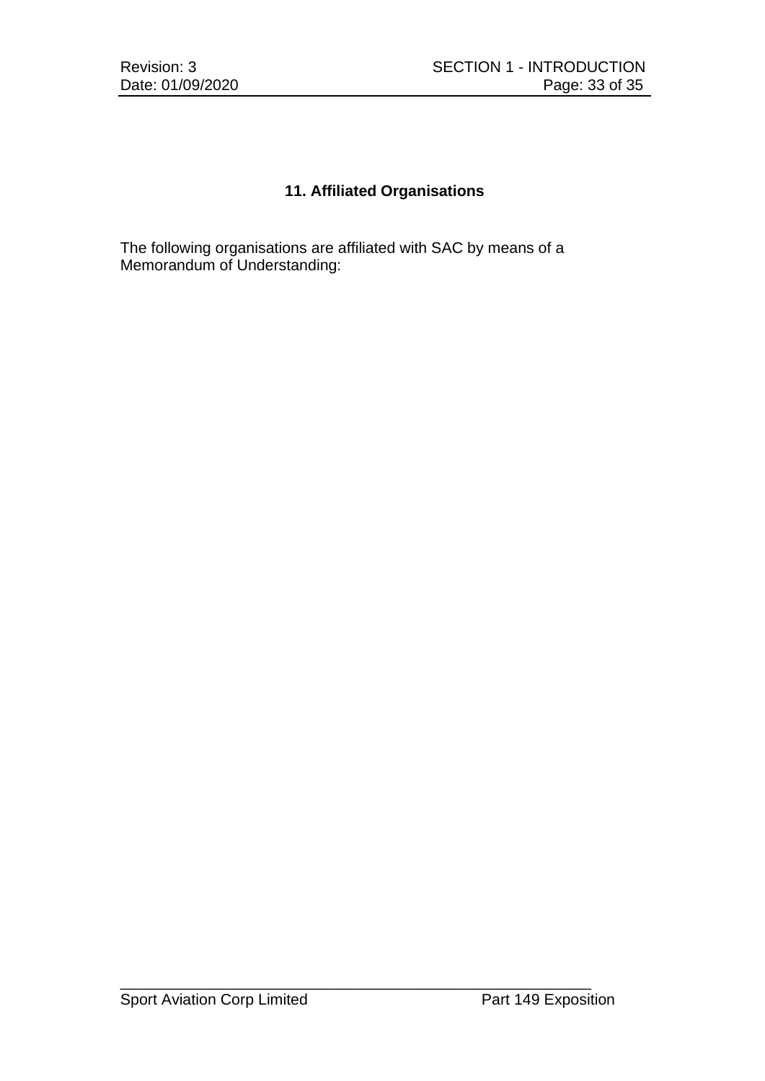#### **11. Affiliated Organisations**

The following organisations are affiliated with SAC by means of a Memorandum of Understanding: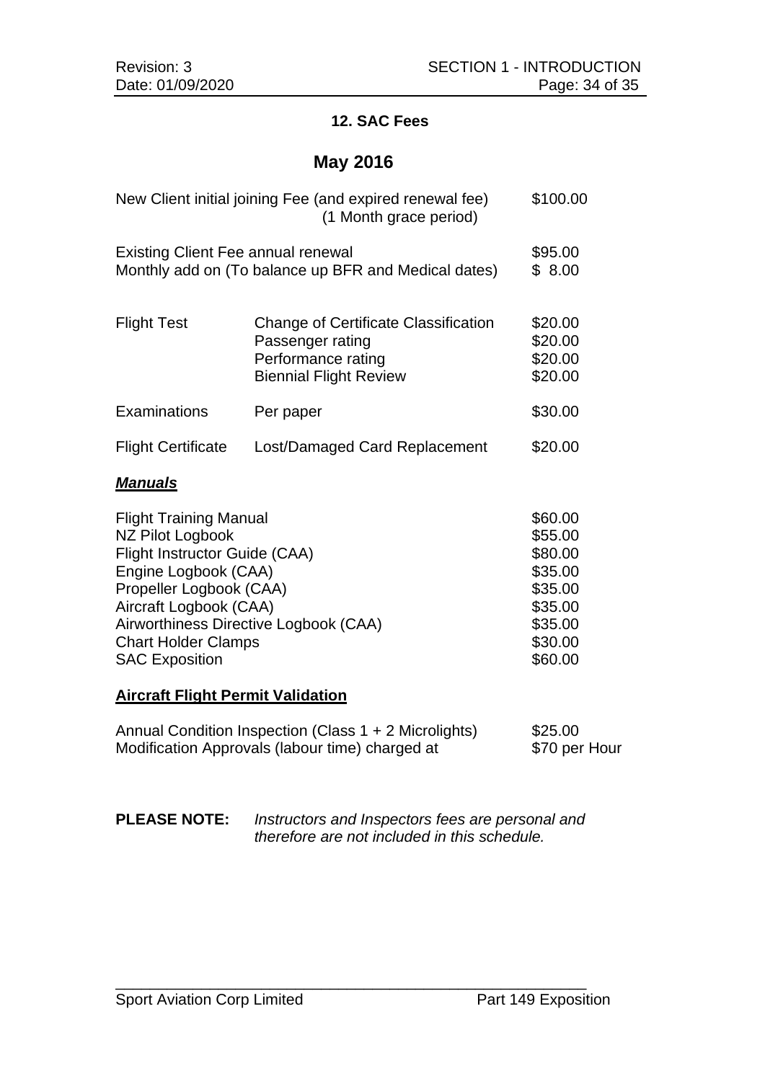### **12. SAC Fees**

## **May 2016**

|                                                   | New Client initial joining Fee (and expired renewal fee)<br>(1 Month grace period)                              | \$100.00                                 |
|---------------------------------------------------|-----------------------------------------------------------------------------------------------------------------|------------------------------------------|
| <b>Existing Client Fee annual renewal</b>         | Monthly add on (To balance up BFR and Medical dates)                                                            | \$95.00<br>\$8.00                        |
| <b>Flight Test</b>                                | Change of Certificate Classification<br>Passenger rating<br>Performance rating<br><b>Biennial Flight Review</b> | \$20.00<br>\$20.00<br>\$20.00<br>\$20.00 |
| Examinations                                      | Per paper                                                                                                       | \$30.00                                  |
| <b>Flight Certificate</b>                         | Lost/Damaged Card Replacement                                                                                   | \$20.00                                  |
| <b>Manuals</b>                                    |                                                                                                                 |                                          |
| <b>Flight Training Manual</b><br>NZ Pilot Logbook |                                                                                                                 | \$60.00<br>\$55.00                       |

| Flight Instructor Guide (CAA)         | \$80.00 |
|---------------------------------------|---------|
| Engine Logbook (CAA)                  | \$35.00 |
| Propeller Logbook (CAA)               | \$35.00 |
| Aircraft Logbook (CAA)                | \$35.00 |
| Airworthiness Directive Logbook (CAA) | \$35.00 |
| <b>Chart Holder Clamps</b>            | \$30.00 |
| <b>SAC Exposition</b>                 | \$60.00 |
|                                       |         |

#### **Aircraft Flight Permit Validation**

| Annual Condition Inspection (Class 1 + 2 Microlights) | \$25.00       |
|-------------------------------------------------------|---------------|
| Modification Approvals (labour time) charged at       | \$70 per Hour |

**PLEASE NOTE:** *Instructors and Inspectors fees are personal and therefore are not included in this schedule.*